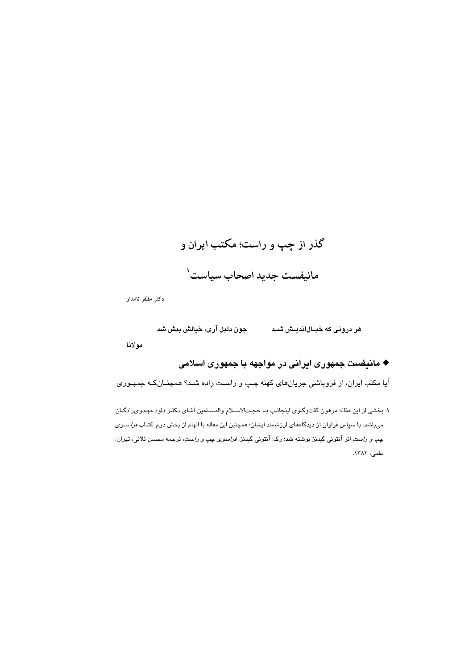# گذر از چپ و راست؛ مکتب ایران و مانيفست جديد اصحاب سياست`

دكتر مظفر نامدار

مولانا

## ♦ مانیفست جمهوری ایرانی در مواجهه با جمهوری اسلامی

آیا مکتب ایران، از فروپاشی جریانهای کهنه چـپ و راسـت زاده شـد؟ همچنــانکـه جمهـوری

۱. بخشی از این مقاله مرهون گفتوگـوی اینجانـب بـا حجـتالاسـلام والمسـلمین آقـای دکتـر داود مهـدویزادگـان میباشد. با سپاس فراوان از دیدگاههای ارزشمند ایشان؛ همچنین این مقاله با الهام از بخش دوم کتـاب *فراسـوی* چ*پ و راست* اثر آنتونی گیدنز نوشته شد؛ رک: آنتونی گیدنز، *فراسوی چپ و راست*، ترجمه محسن ثلاثی، تهران، علمی، ۱۳۸۲.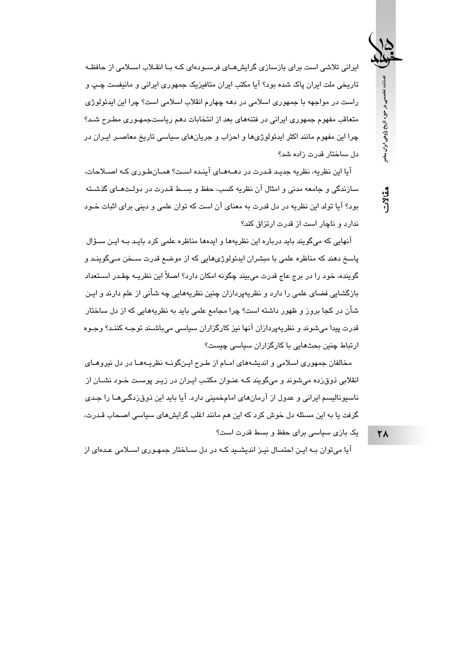ایرانی تلاشی است برای بازسازی گرایشهـای فرسـودهای کـه بـا انقـلاب اسـلامی از حافظـه تاریخی ملت ایران پاک شده بود؟ آیا مکتب ایران متافیزیک جمهوری ایرانی و مانیفست چـپ و راست در مواجهه با جمهوری اسلامی در دهه چهارم انقلاب اسلامی است؟ چرا این ایدئولوژی متعاقب مفهوم جمهوری ایرانی در فتنههای بعد از انتخابات دهم ریاستجمهـوری مطـرح شـد؟ چرا این مفهوم مانند اکثر ایدئولوژیها و احزاب و جریانهای سیاسی تاریخ معاصـر ایـران در دل ساختار قدرت زاده شد؟

آیا این نظریه، نظریه جدید قـدرت در دهــهمـای آینـده اسـت؟ همـانطـوری کـه اصــلاحات، سازندگی و حامعه مدنی و امثال آن نظر به کسب، حفظ و بسیط قیدرت در دولت هیای گذشته بود؟ آیا تولد این نظریه در دل قدرت به معنای آن است که توان علمی و دینی برای اثبات خــود ندار د و ناجار است از قدرت ارتزاق کند؟

آنهایی که میگویند باید درباره این نظریهها و ایدهها مناظره علمی کرد بایـد بــه ایـن ســؤال پاسخ دهند که مناظره علمی با مبشران ایدئولوژیهایی که از موضع قدرت سـخن مـیگوینـد و گوینده، خود را در برج عاج قدرت می،بیند چگونه امکان دارد؟ اصلاً این نظریـه چقـدر اســتعداد بازگشایی فضای علمی را دارد و نظریهپردازان چنین نظریههایی چه شأنی از علم دارند و ایـن شأن در کجا بروز و ظهور داشته است؟ چرا مجامع علمی باید به نظریههایی که از دل ساختار قدرت پيدا مي شوند و نظريهپردازان آنها نيز كارگزاران سياسي مي باشـند توجـه كننـد؟ وجـوه ارتباط چنین بحثهایی با کارگزاران سیاسی چیست؟

مخالفان جمهوری اسلامی و اندیشههای امــام از طـرح ایــنگونــه نظریــههــا در دل نیروهــای انقلابی ذوق(ده میشوند و میگویند کـه عنـوان مکتـب ایـران در زیـر پوسـت خـود نشــان از ناسپونالیسم ایرانی و عدول از آرمانهای امامخمینی دارد. آیا باید این ذوقزدگیهـا را جـدی گرفت یا به این مسئله دل خوش کرد که این هم مانند اغلب گرایشهای سیاسی اصحاب قـدرت،

یک بازی سیاسی برای حفظ و بسط قدرت است؟

آیا می توان بـه ایـن احتمـال نیـز اندیشـید کـه در دل ســاختار جمهـوری اسـلامی عـدهای از

**٢٨** 

فصلنامه تخصصی در حوزه تاریخ پژوهی ایران معاصر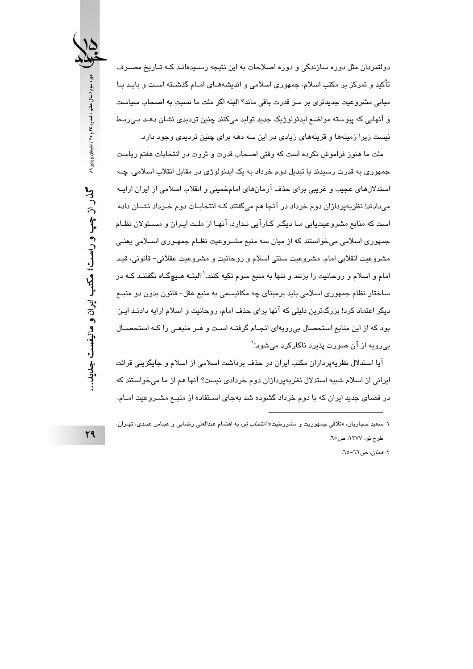دولتمردان مثل دوره سازندگی و دوره اصلاحات به این نتیجه رسـیدهانـد کـه تـاریخ مصـرف تأکید و تمرکز بر مکتب اسلام، جمهوری اسلامی و اندیشههـای امـام گذشــته اسـت و بایـد بـا مبانی مشروعیت جدیدتری بر سر قدرت باقی ماند؟ البته اگر ملت ما نسبت به اصحاب سیاست و آنهایی که پیوسته مواضع ایدئولوژیک جدید تولید میکنند چنین تردیدی نشان دهـد بـی٫ربـط نیست زیرا زمینهها و قرینههای زیادی در این سه دهه برای چنین تردیدی وجود دارد.

ملت ما هنوز فراموش نکرده است که وقتی اصحاب قدرت و ثروت در انتخابات هفتم ریاست جمهوري به قدرت رسيدند با تبديل دوم خرداد به يک ايدئولوژي در مقابل انقلاب اسلامي، چـه استدلالهای عجیب و غریبی برای حذف آرمانهای امامخمینی و انقلاب اسلامی از ایران ارایــه می،دادند! نظریهپردازان دوم خرداد در آنجا هم می،گفتند کـه انتخابــات دوم خـرداد نشــان داده است که منابع مشروعیتبایی میا دیگیر کیارآیی نیدارد. آنهیا از ملت ایران و مسیؤلان نظیام جمهوری اسلامی میخواستند که از میان سه منبع مشـروعیت نظـام جمهـوری اسـلامی یعنـی مشروعيت انقلابي امام، مشروعيت سنتي اسلام و روحانيت و مشروعيت عقلاني– قانوني، قيـد امام و اسلام و روحانیت را بزنند و تنها به منبع سوم تکیه کنند.' البتــه هـیچگــاه نگفتنـد کــه در ساختار نظام جمهوري اسلامي بايد برمبناي چه مکانيسمي به منبع عقل– قانون بدون دو منبـع دیگر اعتماد کرد! بزرگترین دلیلی که آنها برای حذف امام، روحانیت و اسلام ارایه دادنـد ایـن بود که از این منابع استحصال بی رویهای انجـام گرفتـه اسـت و هـر منبعـی را کـه استحصـال بی رویه از آن صورت پذیرد ناکارکرد میشود!<sup>۲</sup>

آیا استدلال نظریهپردازان مکتب ایران در حذف برداشت اسلامی از اسلام و جایگزینی قرائت ایرانی از اسلام شبیه استدلال نظریهپردازان دوم خردادی نیست؟ آنها هم از ما میخواستند که در فضای جدید ایران که با دوم خرداد گشوده شد بهجای اسـتفاده از منبــع مشــروعیت امــام،

٢. *همان،* ص٦٦-٦٥.

١. سعيد حجاريان، «تلاقى جمهوريت و مشروطيت»؛ *انتخاب نو*، به اهتمام عبدالعلى رضايى و عبـاس عبـدى، تهـران، طرح نو، ١٣٧٧، ص٦٥.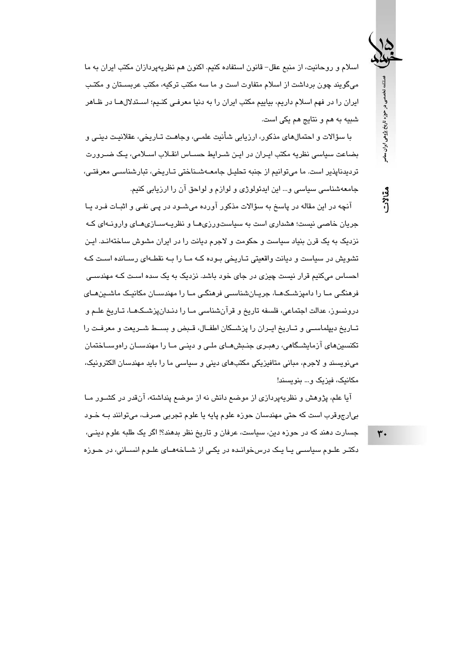فصلنامه تخصصى در حوزه تاريخ پژوهى ايران معاصر

مقالات

اسلام و روحانیت، از منبع عقل– قانون استفاده کنیم. اکنون هم نظریهپردازان مکتب ایران به ما می گویند چون برداشت از اسلام متفاوت است و ما سه مکتب ترکیه، مکتب عربسـتان و مکتـب ایران را در فهم اسلام داریم، بیاییم مکتب ایران را به دنیا معرفـی کنـیم؛ اسـتدلالهـا در ظـاهر شبيه به هم و نتايج هم يكي است.

با سؤالات و احتمالهای مذکور، ارزیابی شأنیت علمـی، وجاهـت تـاریخی، عقلانیـت دینـی و بضاعت سياسي نظريه مكتب ايـران در ايـن شـرايط حسـاس انقـلاب اسـلامي، يـک ضـرورت تردیدناپذیر است. ما می توانیم از جنبه تحلیل جامعـهشـناختی تـاریخی، تبارشناسـی معرفتـی، جامعهشناسی سیاسی و… این ایدئولوژی و لوازم و لواحق آن را ارزیابی کنیم.

آنچه در این مقاله در پاسخ به سؤالات مذکور آورده میشـود در پـی نفـی و اثبـات فـرد یـا جریان خاصی نسبت؛ هشداری است به سیاستورزی هیا و نظریبهسپازی هیای وارونیهای کیه نزدیک به یک قرن بنیاد سیاست و حکومت و لاجرم دیانت را در ایران مشوش ساختهانـد. ایـن تشویش در سیاست و دیانت واقعیتی تـاریخی بـوده کـه مـا را بـه نقطـهای رسـانده اسـت کـه احساس میکنیم قرار نیست چیزی در جای خود باشد. نزدیک به یک سده اسـت کـه مهندسـی فرهنگے ،ما را دامیزشـکـهـا، جریـانشناسـی فرهنگـی مـا را مهندسـان مکانیـک ماشـینهـای درونسوز، عدالت اجتماعی، فلسفه تاریخ و قرآنشناسی مـا را دنـدانپزشـکـهـا، تـاریخ علــم و تــاريخ ديپلماســي و تــاريخ ايــران را پزشــكان اطفــال، قــبض و بســط شــريعت و معرفــت را تکنسینهای آزمایشگاهی، رهبـری جنـبشهـای ملـی و دینـی مـا را مهندسـان راموسـاختمان می،نویسند و لاجرم، مبانی متافیزیکی مکتبهای دینی و سیاسی ما را باید مهندسان الکترونیک، مکانیک، فیزیک و... بنویسند!

آیا علم، پژوهش و نظریهپردازی از موضع دانش نه از موضع پنداشته، آنقدر در کشــور مــا بي|رجوقرب است كه حتى مهندسان حوزه علوم پايه يا علوم تجربي صرف، مي توانند بـه خـود جسارت دهند که در حوزه دین، سیاست، عرفان و تاریخ نظر بدهند؟! اگر یک طلبه علوم دینـی، دکتـر علـوم سیاسـی یـا یـک درس خوانـده در یکـی از شــاخههـای علـوم انســانی، در حـوزه

 $\mathbf{r}$ .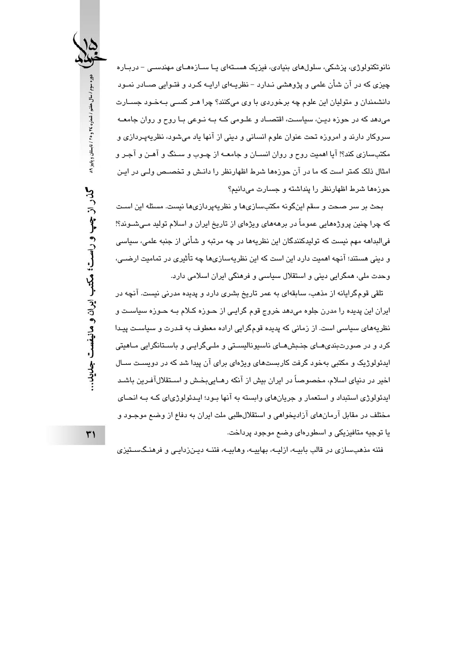نانوتکنولوژی، پزشکی، سلولهای بنیادی، فیزیک هسـتهای پـا ســازههـای مهندسـی – دربـاره چیزی که در آن شأن علمی و پژوهشی نـدارد – نظریـهای ارایـه کـرد و فتـوایی صــادر نمـود دانشمندان و متولیان این علوم چه برخوردی با وی میکنند؟ چرا هـر کسـی بـهخـود جســارت می،دهد که در حوزه دیـن، سیاسـت، اقتصـاد و علـومی کـه بـه نـوعی بـا روح و روان جامعـه سروکار دارند و امروزه تحت عنوان علوم انسانی و دینی از آنها یاد میشود، نظریهپـردازی و مکتبِسازی کند؟! آیا اهمیت روح و روان انســان و جامعــه از چــوب و ســنگ و آهــن و آجـر و امثال ذلک کمتر است که ما در آن حوزهها شرط اظهارنظر را دانـش و تخصـص ولـی در ایـن حوزهها شرط اظهارنظر را پنداشته و جسارت میدانیم؟

بحث بر سر صحت و سقم اینگونه مکتبسازیها و نظریهپردازیها نیست. مسئله این است که چرا چنین پروژههایی عموماً در برهههای ویژهای از تاریخ ایران و اسلام تولید مـیشـوند؟! فيالبداهه مهم نيست كه توليدكنندگان اين نظريهها در چه مرتبه و شأني از جنبه علمي، سياسي و دینی هستند؛ آنچه اهمیت دارد این است که این نظریهسازیها چه تأثیری در تمامیت ارضـی، وحدت ملي، همگرايي ديني و استقلال سياسي و فرهنگي ايران اسلامي دارد.

تلقی قومگرایانه از مذهب، سابقهای به عمر تاریخ بشری دارد و پدیده مدرنی نیست. آنچه در ایران این پدیده را مدرن جلوه میدهد خروج قوم گرایـی از حـوزه کـلام بـه حـوزه سیاسـت و نظریههای سیاسی است. از زمانی که پدیده قومگرایی اراده معطوف به قـدرت و سیاسـت پیـدا کرد و در صورتبندیهـای جنـبشهـای ناسبونالیسـتی و ملـیگرایـی و باسـتانگرایی مـاهیتی ایدئولوژیک و مکتبی بهخود گرفت کاربستهای ویژهای برای آن پیدا شد که در دویسـت سـال اخير در دنياي اسلام، مخصوصاً در ايران بيش از آنكه رهـايي،بخـش و اســتقلالآفـرين باشـد ایدئولوژی استبداد و استعمار و جریانهای وابسته به آنها بـود؛ ایـدئولوژیای کـه بـه انحـای مختلف در مقابل آرمانهای آزادیخواهی و استقلالطلبی ملت ایران به دفاع از وضع موجـود و یا توجیه متافیزیکی و اسطورهای وضع موجود پرداخت.

فتنه مذهبسازی در قالب بابیــه، ازلیــه، بهاییــه، وهابیــه، فتنــه دیــنزدایــی و فرهنـگســتیزی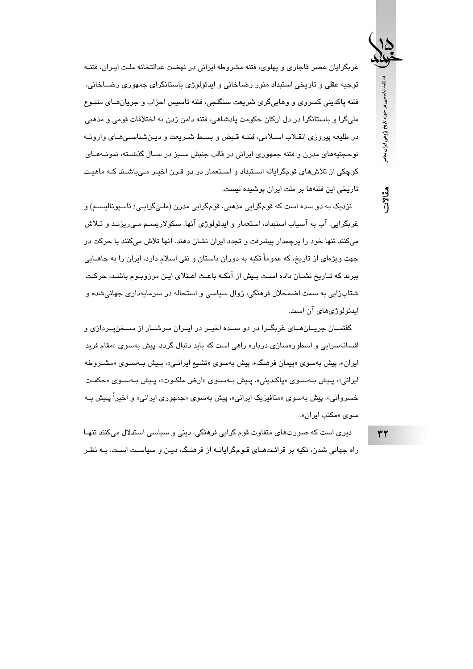غربگرایان عصر قاجاری و پهلوی، فتنه مشروطه ایرانی در نهضت عدالتخانه ملت ایران، فتنـه توجیه عقلی و تاریخی استبداد منور رضاخانی و ایدئولوژی باستانگرای جمهوری رضــاخانی، فتنه پاکدینی کسروی و وهاییگری شریعت سنگلجی، فتنه تأسیس احزاب و جریانهـای متنـوع ملیگرا و باستانگرا در دل ارکان حکومت پادشاهی، فتنه دامن زدن به اختلافات قومی و مذهبی در طليعه پيروزي انقـلاب اسـلامي، فتنـه قـبض و بسـط شـريعت و ديـنشناسـيهـاي وارونـه نوحجتپههای مدرن و فتنه جمهوری ایرانی در قالب جنبش سـبز در سـال گذشـته، نمونــههـای کوچکی از تلاشهای قومگرایانه اسـتبداد و اسـتعمار در دو قـرن اخیـر مـی،باشـند کـه ماهیـت تاریخی این فتنهها بر ملت ایران پوشیده نیست.

نزديک به دو سده است که قومگرايي مذهبي، قومگرايي مدرن (ملـي گرايـي/ ناسيوناليســم) و غربگرایی، آب به آسیاب استنداد، استعمار و ایدئولوژی آنها، سکولاریسیم می ریزنید و تیلاش میکنند تنها خود را پرچمدار پیشرفت و تجدد ایران نشان دهند. آنها تلاش میکنند با حرکت در جهت ویژهای از تاریخ، که عموماً تکیه به دوران باستان و نفی اسلام دارد، ایران را به جاهــایی ببرند که تـاریخ نشـان داده اسـت بـیش از آنکـه باعـث اعـتلای ایـن مرزوبـوم باشـد، حرکـت شتابزايي به سمت اضمحلال فرهنگي، زوال سياسي و استحاله در سرمايهداري جهاني شده و ایدئولوژیهای آن است.

گفتمــان جريــان هــاي غربگــرا در دو ســده اخيــر در ايــران سرشــار از ســخن،پــردازي و افسانهسرایی و اسطورهسازی درباره راهی است که باید دنبال گردد. پیش بهسوی «مقام فرید ایران»، پیش بهسوی «پیمان فرهنگ»، پیش بهسوی «تشیع ایرانبی»، پیش بهسوی «مشـروطه ايراني»، پـيش بـهسـوي «پاكـديني»، پـيش بـهسـوي «ارض ملكـوت»، پـيش بـهسـوي «حكمـت خسروانی»، پیش بهسوی «متافیزیک ایرانی»، پیش بهسوی «جمهوری ایرانی» و اخیراً پـیش بـه سوی «مکتب ایران».

دیری است که صورتهای متفاوت قوم گرایی فرهنگی، دینی و سیاسی استدلال میکنند تنهـا راه جهانی شدن، تکیه بر قرائـتهـای قـومگرایانــه از فرهنـگ، دیـن و سیاسـت اسـت. بــه نظـر

 $rr$ 

فصلنامه تخصصى در حوزه تاريخ پژوهى ايران معاصر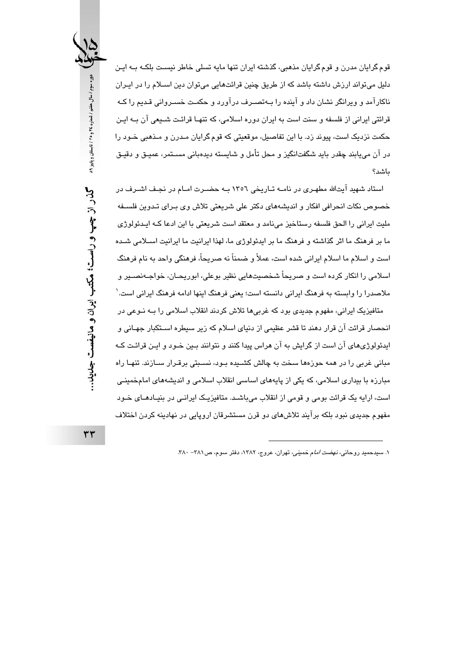قوم گرایان مدرن و قوم گرایان مذهبی، گذشته ایران تنها مایه تسلی خاطر نیست بلکـه بـه ایـن دلیل میتواند ارزش داشته باشد که از طریق چنین قرائتهایی میتوان دین اســلام را در ایـران ناکارآمد و ویرانگر نشان داد و آینده را بـهتصــرف درآورد و حکمـت خســروانی قـدیم را کـه قرائتی ایرانی از فلسفه و سنت است به ایران دوره اسلامی، که تنهـا قرائـت شــیعی آن بــه ایـن حکمت نزدیک است، پیوند زد. یا این تفاصیل، موقعیتی که قوم گرایان میدرن و میذهبی خبود را در آن میبابند چقدر باید شگفتانگیز و محل تأمل و شایسته دیدهبانی مسـتمر، عمیـق و دقیـق باشد؟

استاد شهید آیتالله مطهری در نامـه تـاریخی ١٣٥٦ بـه حضـرت امـام در نجـف اشـرف در خصوص نكات انحرافي افكار و انديشههاي دكتر على شريعتي تلاش وي بـراي تـدوين فلسـفه ملیت ایرانی را الحق فلسفه رستاخیز می نامد و معتقد است شریعتی یا این ادعا کیه اییدؤولوژی ما بر فرهنگ ما اثر گذاشته و فرهنگ ما بر ایدئولوژی ما، لهذا ایرانیت ما ایرانیت اسـلامی شـده است و اسلام ما اسلام ایرانی شده است، عملاً و ضمناً نه صریحاً، فرهنگی واحد به نام فرهنگ اسلامی را انکار کرده است و صریحاً شخصیتهایی نظیر بوعلی، ابوریحـان، خواجـﻪنصــیر و ملاصدرا را وابسته به فرهنگ ایرانی دانسته است؛ یعنی فرهنگ اینها ادامه فرهنگ ایرانی است. ٰ

متافیزیک ایرانی، مفهوم جدیدی بود که غربیها تلاش کردند انقلاب اسلامی را بـه نـوعی در انحصار قرائت آن قرار دهند تا قشر عظیمی از دنیای اسلام که زیر سیطره اسـتکبار جهـانی و ایدئولوژیهای آن است از گرایش به آن هراس پیدا کنند و نتوانند بـین خـود و ایـن قرائـت کـه مبانی غربی را در همه حوزهها سخت به چالش کشــیده بـود، نسـبتی برقـرار ســازند. تنهـا راه مبارزه با بیداری اسلامی، که یکی از پایههای اساسی انقلاب اسلامی و اندیشههای امامخمینی است، ارایه یک قرائت بومی و قومی از انقلاب میباشد. متافیزیک ایرانبی در بنیـادهـای خـود مفهوم جدیدی نبود بلکه برآیند تلاشهای دو قرن مستشرقان اروپایی در نهادینه کردن اختلاف



 $rr$ 

۱. سیدحمید روحانی، *نهضت اما*م خمینی، تهران، عروج، ۱۳۸۲، دفتر سوم، ص ۳۸۱ - ۳۸۰.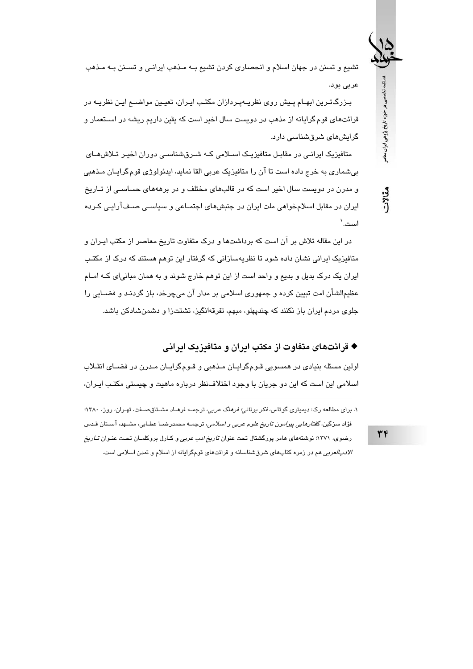تشيع و تسنن در جهان اسلام و انحصاري كردن تشيع بـه مـذهب ايرانـي و تسـنن بـه مـذهب عربي بود.

بـزرگـتـرین ابهـام پـیش روی نظریـهپـردازان مکتـب ایـران، تعیـین مواضـع ایـن نظریــه در قرائتهای قوم گرایانه از مذهب در دویست سال اخیر است که یقین داریم ریشه در اسـتعمار و گرایش مای شرقشناسی دارد.

متافیزیک ایرانـی در مقابـل متافیزیـک اسـلامی کـه شـرقشناسـی دوران اخیـر تـلاش هـای بیشماری به خرج داده است تا آن را متافیزیک عربی القا نماید، ایدئولوژی قوم گرایـان مـذهبی

و مدرن در دویست سال اخیر است که در قالبهای مختلف و در برهههای حساســی از تــاریخ ایران در مقابل اسلامخواهی ملت ایران در جنبشهای اجتمـاعی و سیاسـی صـفآرایـی کـرده است. `

در این مقاله تلاش بر آن است که برداشتها و درک متفاوت تاریخ معاصر از مکتب ایـران و متافیزیک ایرانی نشان داده شود تا نظریهسازانی که گرفتار این توهم هستند که درک از مکتب ایران یک درک بدیل و بدیع و واحد است از این توهم خارج شوند و به همان مبانی ای کـه امــام عظیمالشأن امت تبیین کرده و جمهوری اسلامی بر مدار آن میچرخد، باز گردنـد و فضــابی را جلوی مردم ایران باز نکنند که چندیهلو، مبهم، تفرقهانگیز، تشتتزا و دشمنشادکن باشد.

♦ قرائتهای متفاوت از مکتب ابران و متافیزیک ابرانی

اولین مسئله بنیادی در همسویی قـومگرایـان مـذهبی و قـومگرایـان مـدرن در فضـای انقـلاب اسلامی این است که این دو جریان با وجود اختلاف نظر درباره ماهیت و چیستی مکتب ایـران،

۱. برای مطالعه رک: دیمیتری گوتاس، *فکر بونانی؛ فرهنگ عربی،* ترجمـه فرهـاد مشـتاقصـفت، تهـران، روز، ۱۳۸۰؛ فؤاد سزگین، *گفتارهایی پیرامون تاریخ علوم عربی و اسلامی*، ترجمــه محمدرضــا عطـایی، مشــهد، آســتان قـدس رضوی، ۱۳۷۱؛ نوشتههای هامر پورگشتال تحت عنوان *تاریخ ادب عربی* و کـارل بروکلمـان تحـت عنـوان *تــاریخ الادبالعربی* هم در زمره کتابهای شرقشناسانه و قرائتهای قومگرایانه از اسلام و تمدن اسلامی است.

 $\mathbf{r}$ 

فصلنامه تخصصی در حوزه تاریخ پژوهی ایران معاصر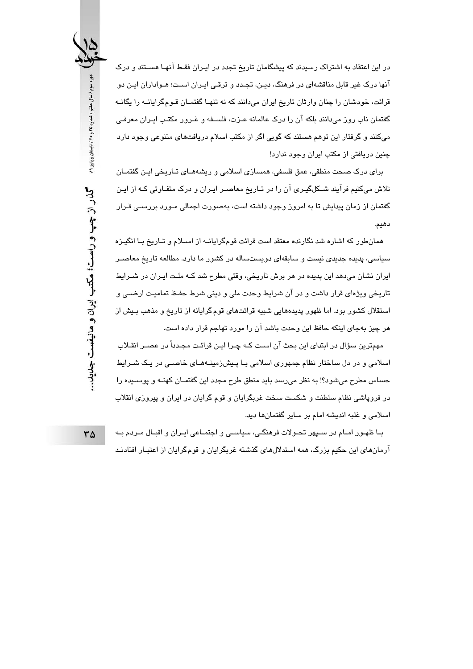در این اعتقاد به اشتراک رسیدند که پیشگامان تاریخ تجدد در ایـران فقـط آنهـا هسـتند و درک آنها درک غیر قابل مناقشهای در فرهنگ، دیـن، تجـدد و ترقـی ایـران اسـت؛ هـواداران ایـن دو قرائت، خودشان را چنان وارثان تاریخ ایران می،دانند که نه تنهـا گفتمـان قـومگرایانــه را یگانــه گفتمان ناب روز می،دانند بلکه آن را درک عالمانه عـزت، فلســفه و غـرور مکتـب ایـران معرفـی میکنند و گرفتار این توهم هستند که گویی اگر از مکتب اسلام دریافتهای متنوعی وجود دارد چنین دریافتی از مکتب ایران وجود ندارد!

برای درک صحت منطقی، عمق فلسفی، همسازی اسلامی و ریشههـای تـاریخی ایـن گفتمـان تلاش میکنیم فرآیند شــکلگیـری آن را در تـاریخ معاصــر ایـران و درک متفـاوتی کـه از ایـن گفتمان از زمان پیدایش تا به امروز وجود داشته است، بهصورت اجمالی مـورد بررسـی قـرار دهىم.

همانطور که اشاره شد نگارنده معتقد است قرائت قومگرایانــه از اســلام و تــاریخ بــا انگیـزه سیاسی، پدیده جدیدی نیست و سابقهای دویستساله در کشور ما دارد. مطالعه تاریخ معاصـر ابران نشان می،دهد این پدیده در هر برش تاریخی، وقتی مطرح شد کـه ملـت ایـران در شـرایط تاریخی ویژهای قرار داشت و در آن شرایط وحدت ملی و دینی شرط حفـظ تمامیـت ارضــی و استقلال کشور بود. اما ظهور پدیدههایی شبیه قرائتهای قوم گرایانه از تاریخ و مذهب بـیش از هر چیز بهجای اینکه حافظ این وحدت باشد آن را مورد تهاجم قرار داده است.

مهمترین سؤال در ابتدای این بحث آن است کـه چـرا ایـن قرائـت مجـدداً در عصــر انقــلاب اسلامی و در دل ساختار نظام جمهوری اسلامی بـا پـیش;دمینـههـای خاصـی در یـک شـرایط حساس مطرح می شود؟! به نظر می رسد باید منطق طرح مجدد این گفتمـان کهنـه و پوســیده را در فروپاشی نظام سلطنت و شکست سخت غربگرایان و قوم گرایان در ایران و پیروزی انقلاب اسلامی و غلبه اندیشه امام بر سایر گفتمانها دید.

بـا ظهـور امـام در سـپهر تحـولات فرهنگـی، سیاسـی و اجتمـاعی ایـران و اقبـال مـردم بـه آرمانهای این حکیم بزرگ، همه استدلالهای گذشته غربگرایان و قوم گرایان از اعتبـار افتادنـد

دوره سوم / سال هفتم / شماره ٢٤ و ٢٥ / تابستان و پاییز ٨٩ گذر از چپ و راست؛ مکتب ایران و مانیفست جدید...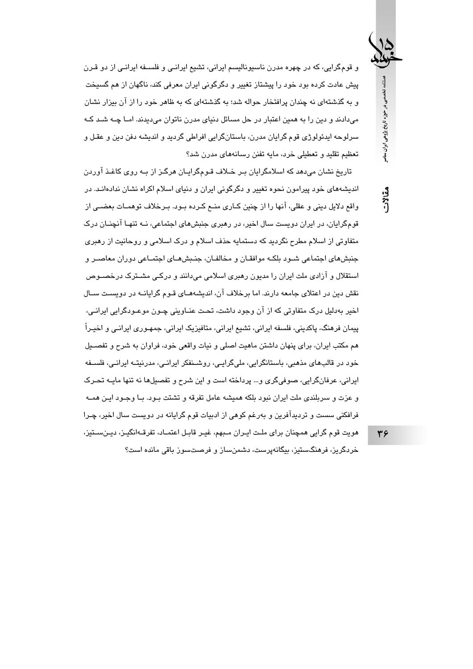و قومگرایی، که در چهره مدرن ناسیونالیسم ایرانی، تشیع ایرانـی و فلسـفه ایرانـی از دو قـرن پیش عادت کرده بود خود را پیشتاز تغییر و دگرگونی ایران معرفی کند، ناگهان از هم گسیخت و به گذشتهای نه چندان پرافتخار حواله شد؛ به گذشتهای که به ظاهر خود را از آن بیزار نشان می،دادند و دین را به همین اعتبار در حل مسائل دنیای مدرن ناتوان می،دیدند. امـا چــه شـد کـه سرلوحه ابدئولوژي قوم گرايان مدرن، پاستانگرايي افراطي گرديد و انديشه دفن دين و عقبل و تعظیم تقلید و تعطیلی خرد، مایه تفنن رسانههای مدرن شد؟

تاریخ نشان می دهد که اسلامگرایان بـر خـلاف قـومگرایـان هرگـز از بـه روی کاغـذ آوردن اندیشههای خود پیرامون نحوه تغییر و دگرگونی ایران و دنیای اسلام اکراه نشان ندادهانـد. در واقع دلایل دینی و عقلی، آنها را از چنین کـاری منــع کـرده بــود. بــرخلاف توهمــات بعضــی از قومگرایان، در ایران دوبست سال اخیر، در رهبری جنبشهای اجتماعی، نبه تنهبا آنچنبان درک متفاوتی از اسلام مطرح نگردید که دستمایه حذف اسلام و درک اسلامی و روحانیت از رهبری جنبشهای اجتماعی شـود بلکـه موافقـان و مخالفـان، جنـبشهـای اجتمـاعی دوران معاصـر و استقلال و آزادی ملت ایران را مدیون رهبری اسلامی میدانند و درکـی مشـترک درخصــوص نقش دین در اعتلای جامعه دارند. اما برخلاف آن، اندیشههـای قـوم گرایانــه در دویسـت ســال اخیر بهدلیل درک متفاوتی که از آن وجود داشت، تحت عنـاوینی چـون موعـودگرایی ایرانـی، پیمان فرهنگ، پاکدینی، فلسفه ایرانی، تشیع ایرانی، متافیزیک ایرانی، جمهـوری ایرانـی و اخیـراً هم مکتب ایران، برای پنهان داشتن ماهیت اصلی و نیات واقعی خود، فراوان به شرح و تفصـیل خود در قالبهای مذهبی، باستانگرایی، ملیگرایی، روشـنفکر ایرانـی، مدرنیتـه ایرانـی، فلسـفه ایرانی، عرفانگرایی، صوفیگری و… پرداخته است و این شرح و تفصیلها نه تنها مایـه تحـرک و عزت و سربلندی ملت ایران نبود بلکه همیشه عامل تفرقه و تشتت بـود. بـا وجـود ایـن همــه فرافکنی سست و تردیدآفرین و بەرغم کوهی از ادبیات قوم گرایانه در دویست سال اخیر، چـرا هويت قوم گرايي همچنان براي ملـت ايـران مـبهم، غيـر قابـل اعتمـاد، تفرقـهانگيـز، ديـنســتيز،

خردگریز، فرهنگستیز، بیگانەپرست، دشمنساز و فرصتسوز باقی مانده است؟

34

فصلنامه تخصصی در حوزه تاریخ پژوهی ایران ساصر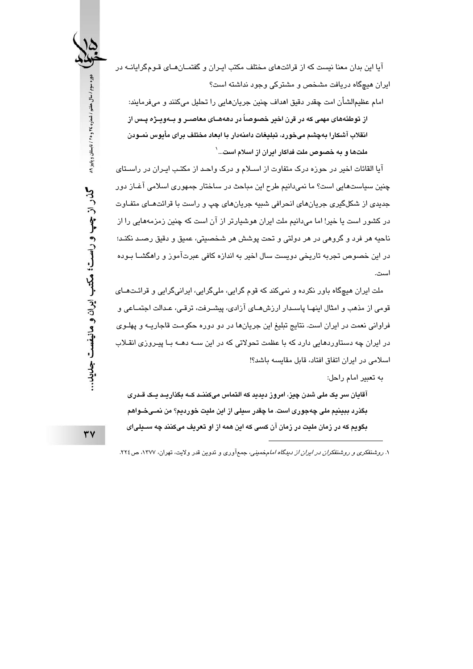آیا این بدان معنا نیست که از قرائتهای مختلف مکتب ایـران و گفتمــانهــای قـومگرایانــه در ایران هیچگاه دریافت مشخص و مشترکی وجود نداشته است؟

امام عظیمالشأن امت چقدر دقیق اهداف چنین جریانهایی را تحلیل میکنند و میفرمایند: از توطئههای مهمی که در قرن اخبر خصوصاً در دهههــای معاصــر و بــهویــژه پــس از انقلاب آشکارا بهچشم میخورد، تبلیغات دامنهدار با ابعاد مختلف برای مأبوس نمـودن ملتها و به خصوص ملت فداکار ایران از اسلام است…`

آیا القائات اخیر در حوزه درک متفاوت از اسـلام و درک واحـد از مکتـب ایـران در راسـتای چنین سیاستهایی است؟ ما نمیدانیم طرح این مباحث در ساختار جمهوری اسلامی آغـاز دور جدیدی از شکلگیری جریانهای انحرافی شبیه جریانهای چپ و راست با قرائتهـای متفـاوت در کشور است یا خیر! اما میدانیم ملت ایران هوشیارتر از آن است که چنین زمزمههایی را از ناحيه هر فرد و گروهي در هر دولتي و تحت پوشش هر شخصيتي، عميق و دقيق رصـد نكنـد؛ در این خصوص تجربه تاریخی دویست سال اخیر به اندازه کافی عبرتآموز و راهگشــا بـوده است.

ملت ایران هیچگاه باور نکرده و نمیکند که قوم گرایی، ملیگرایی، ایرانیگرایی و قرائـتـهــای قومی از مذهب و امثال اینهـا پاسـدار ارزشهـای آزادی، پیشـرفت، ترقـی، عـدالت اجتمـاعی و فراوانی نعمت در ایران است. نتایج تبلیغ این جریانها در دو دوره حکومت قاجاریـه و پهلـوی در ایران چه دستاوردهایی دارد که با عظمت تحولاتی که در این ســه دهــه بــا پیـروزی انقــلاب اسلامی در ایران اتفاق افتاد، قابل مقایسه باشد؟!

به تعبير امام راحل:

آقایان سر یک ملی شدن چیز، امروز دیدید که التماس میکننـد کــه بگذاریــد یــک قــدری بگذرد ببينيم ملي چەجورى است. ما چقدر سيلي از اين مليت خورديم؟ من نمـيخــواهم بگويم كه در زمان مليت در زمان آن كسى كه اين همه از او تعريف مىكنند چه ســيلىاى

۱. روشنفکری و روشنفکران *در ایران از دیدگاه اما*مخمینی، جمعآوری و تدوین قدر ولایت، تهران، ۱۳۷۷، ص۲۲۶.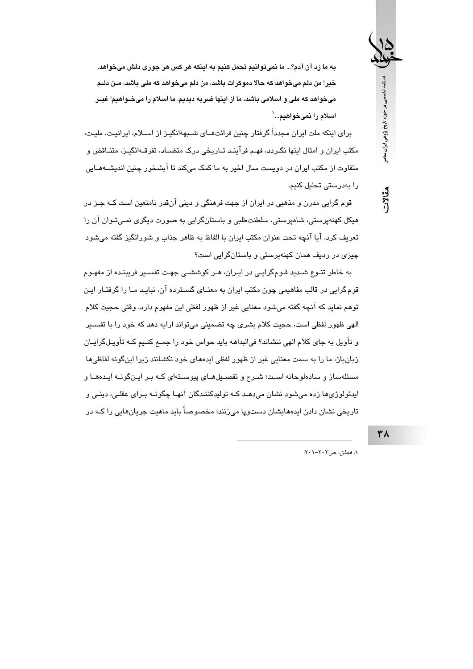به ما زد آن آدم؟... ما نمیتوانیم تحمل کنیم به اینکه هر کس هر جوری دلش میخواهد. خير! من دلم میخواهد که حالا دموکرات باشد، من دلم میخواهد که ملی باشد، مـن دلــم میخواهد که ملی و اسلامی باشد، ما از اینها ضربه دیدیم. ما اسلام را میخــواهیم! غیــر اسلام را نمیخواهیم...`

برای اینکه ملت ایران مجدداً گرفتار چنین قرائتهــای شــبههانگیــز از اســلام، ایرانیـت، ملیـت، مکتب ایران و امثال اینها نگـردد، فهـم فرآینـد تـاریخی درک متضـاد، تفرقـهانگیـز، متنـاقض و متفاوت از مکتب ایران در دویست سال اخیر به ما کمک میکند تا آبشخور چنین اندیشــهمــایی را پەدرستى تحلىل كنىم.

قوم گرایی مدرن و مذهبی در ایران از جهت فرهنگی و دینی آنقدر نامتعین است کـه جـز در هیکل کهنهپرستی، شاهپرستی، سلطنتطلبی و باستانگرایی به صورت دیگری نمـی تـوان آن را تعريف كرد. آيا آنچه تحت عنوان مكتب ايران با الفاظ به ظاهر جذاب و شورانگيز گفته ميشود چیزی در ردیف همان کهنهپرستی و باستانگرایی است؟

به خاطر تنـوع شـدید قـومگرایـی در ایـران، هـر کوششـی جهـت تفسـیر فریبنـده از مفهـوم قوم گرایی در قالب مفاهیمی چون مکتب ایران به معنـای گســترده آن، نبایـد مـا را گرفتـار ایـن توهم نماید که آنچه گفته میشود معنایی غیر از ظهور لفظی این مفهوم دارد. وقتی حجیت کلام الهی ظهور لفظی است، حجیت کلام بشری چه تضمینی میتواند ارایه دهد که خود را با تفسـیر و تأویل به جای کلام الهی ننشاند؟ فیالبداهه باید حواس خود را جمــع کنـیم کــه تأویـلگرایــان زبانباز، ما را به سمت معنایی غیر از ظهور لفظی ایدههای خود نکشانند زیرا اینگونه لفاظی ها مسئلهساز و سادهلوحانه است؛ شـرح و تفصـیلهـای پیوسـتهای کـه بـر ایـنگونـه ایـدههـا و ايدئولوژيها زده مي،شود نشان مي،دهـد کــه توليدکننـدگان آنهـا چگونــه بـراي عقلـي، دينـي و تاریخی نشان دادن ایدههایشان دستوپا میزنند؛ مخصوصاً باید ماهیت جریانهایی را کـه در

٣٨

فصلنامه تخصصی در حوزه تاریخ پژوهی ایران ساصر

مقالات

١. همان، ص٢٠٢-٢٠١.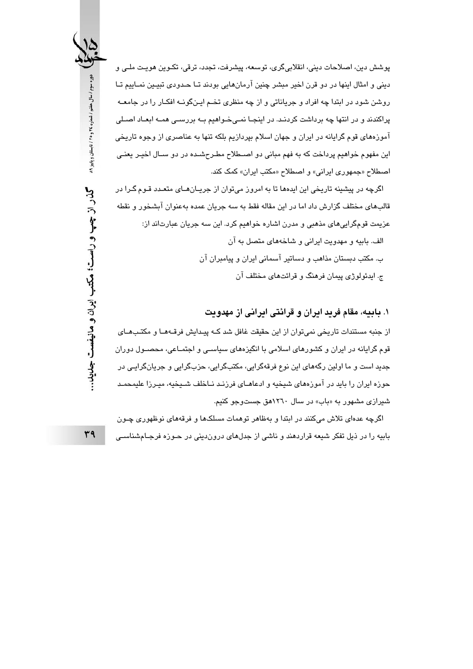يوشش دين، اصلاحات ديني، انقلابيگري، توسعه، پيشرفت، تجدد، ترقي، تكـوين هويـت ملـي و دینی و امثال اینها در دو قرن اخیر مبشر چنین آرمانهایی بودند تـا حـدودی تبیـین نمـاییم تـا روشن شود در ابتدا چه افراد و جریاناتی و از چه منظری تخـم ایـنگونــه افکـار را در جامعــه پراکندند و در انتها چه برداشت کردنـد. در اینجـا نمـیخـواهیم بـه بررسـی همـه ابعـاد اصـلی آموزههای قوم گرایانه در ایران و جهان اسلام بپردازیم بلکه تنها به عناصری از وجوه تاریخی این مفهوم خواهیم پرداخت که به فهم مبانی دو اصـطلاح مطـرحشـده در دو سـال اخیـر یعنـی اصطلاح «جمهوری ایرانی» و اصطلاح «مکتب ایران» کمک کند.

اگرچه در پیشینه تاریخی این ایدهما تا به امروز می توان از جریـان۵مـای متعـدد قـوم گـرا در قالبهای مختلف گزارش داد اما در این مقاله فقط به سه جریان عمده بهعنوان آبشخور و نقطه عزيمت قومگرايي،هاي مذهبي و مدرن اشاره خواهيم كرد. اين سه جريان عبارتاند از: الف. بابيه و مهدويت ايراني و شاخههاي متصل به آن ب. مکتب دبستان مذاهب و دساتیر آسمانی ایران و پیامبران آن ج. ایدئولوژی پیمان فرهنگ و قرائتهای مختلف آن

#### ۱. بابیه، مقام فرید ایران و قرائتی ایرانی از مهدویت

از جنبه مستندات تاریخی نمیتوان از این حقیقت غافل شد کـه پیـدایش فرقـههـا و مکتـبهـای قوم گرایانه در ایران و کشورهای اسلامی با انگیزههای سیاسـی و اجتمـاعی، محصـول دوران جدید است و ما اولین رگههای این نوع فرقهگرایی، مکتبگرایی، حزبگرایی و جریانگرایی در حوزه ایران را باید در آموزههای شیخیه و ادعاهـای فرزنـد نـاخلف شـیخیه، میـرزا علیمحمـد شیرازی مشهور به «باب» در سال ۱۲٦۰هق جستوجو کنیم.

اگرچه عدهای تلاش میکنند در ابتدا و بهظاهر توهمات مسلکها و فرقههای نوظهوری چـون بابیه را در ذیل تفکر شیعه قراردهند و ناشی از جدلهای درون دینی در حـوزه فرجـامشناسـی

دوره سوم / سال هفتم / شماره ٢٤ و ٢٥ / تابستان و پاییز ٨٩ گذر از چپ و راست؛ مکتب ایران و مانیفست جدید..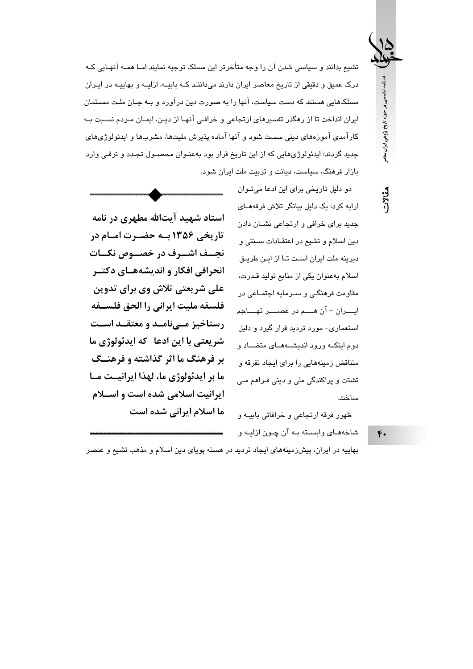تشیع بدانند و سیاسی شدن آن را وجه متأخرتر این مسلک توجیه نمایند امـا همــه آنهـایی کـه درک عمیق و دقیقی از تاریخ معاصر ایران دارند میداننـد کـه بابیـه، ازلیـه و بهاییـه در ایـران مسلکهایی هستند که دست سیاست، آنها را به صورت دین درآورد و بـه جـان ملـت مسـلمان ایران انداخت تا از رهگذر تفسیرهای ارتجاعی و خرافـی آنهـا از دیـن، ایمـان مـردم نسـبت بـه کار آمدی آموزههای دینی سست شود و آنها آماده پذیرش ملیتها، مشربها و ایدئولوژیهای جدید گردند؛ ایدئولوژیهایی که از این تاریخ قرار بود بهعنـوان محصـول تجـدد و ترقـی وارد بازار فرهنگ، سیاست، دیانت و تربیت ملت ایران شود.

مقالات

فصلنامه تخصصی در حوزه تاریخ پژوهی ایران معاصر

استاد شهید آیتالله مطهری در نامه تاریخی ۱۳۵۶ بسه حضـرت امـام در نجسف اشسرف در خصسوص نکسات انحرافي افكار و انديشههــاي دكتــر علی شریعتی تلاش وی برای تدوین فلسفه مليت ايراني را الحق فلســفه رستاخیز مےنامـد و معتقـد اسـت شریعتی با این ادعا که ایدئولوژی ما بر فرهنگ ما اثر گذاشته و فرهنــگ ما بر ایدئولوژی ما، لهذا ایرانیــت مــا ایرانیت اسلامی شده است و اســلام ما اسلام ایرانی شده است

جدید برای خرافی و ارتجاعی نشبان دادن دين اسلام و تشيع در اعتقـادات سـنتي و دیرینه ملت ایران است تـا از ایـن طریـق اسلام بهعنوان یکی از منابع تولید قـدرت، مقاومت فرهنگے، و سـرمایه اجتمـاعی در ايــــران – آن هـــــم در عصـــــر تهــــاجم استعماری- مورد تردید قرار گیرد و دلیل دوم اینکه ورود اندیشههای متضاد و متناقض زمینههایی را برای ایجاد تفرقه و تشتت و پراکندگی ملی و دینی فـراهم مـی ساخت.

دو دلیل تاریخی برای این ادعا میتوان

ارايه كرد؛ یک دلیل بیانگر تلاش فرقههـای

ظهور فرقه ارتجاعی و خرافاتی بابیــه و شاخههـاي وابسـته بـه آن چـون ازليـه و

 $F -$ 

بهاییه در ایران، پیشزدمینههای ایجاد تردید در هسته پویای دین اسلام و مذهب تشیع و عنصر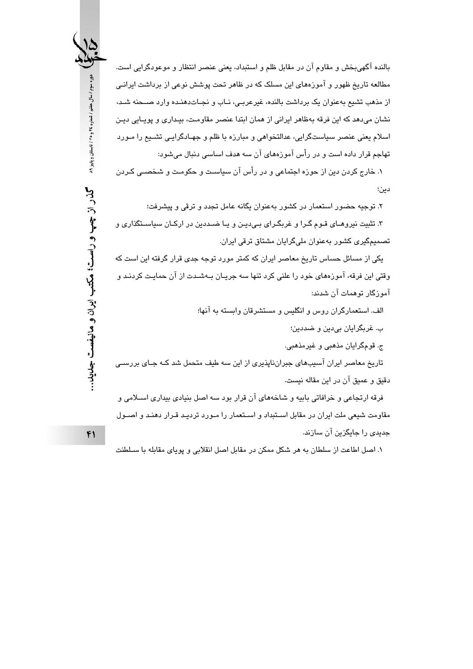بالنده آگهی بخش و مقاوم آن در مقابل ظلم و استبداد، یعنی عنصر انتظار و موعودگرایی است. مطالعه تاریخ ظهور و آموزههای این مسلک که در ظاهر تحت پوشش نوعی از برداشت ایرانـی از مذهب تشيع بهعنوان يک برداشت بالنده، غيرعربي، نـاب و نجـاتدهنـده وارد صـحنه شـد، نشان می،دهد که این فرقه بهظاهر ایرانی از همان ابتدا عنصر مقاومت، بیداری و پویـایی دیـن اسلام یعنی عنصر سیاستگرایی، عدالتخواهی و مبارزه با ظلم و جهـادگرایـی تشـیع را مـورد تهاجم قرار داده است و در رأس آموزههای آن سه هدف اساسی دنبال میشود:

۱. خارج کردن دین از حوزه اجتماعی و در رأس آن سیاست و حکومت و شخصـی کـردن دين؛

۲. توجیه حضور استعمار در کشور بهعنوان یگانه عامل تجدد و ترقی و پیشرفت؛ ۳. تثبیت نیروهـای قـوم گـرا و غربگـرای بـیدیـن و یـا ضـددین در ارکـان سیاسـتگذاری و تصمیمگیری کشور بهعنوان ملیگرایان مشتاق ترقی ایران.

یکی از مسائل حساس تاریخ معاصر ایران که کمتر مورد توجه جدی قرار گرفته این است که وقتی این فرقه، آموزههای خود را علنی کرد تنها سه جریـان بـهشـدت از آن حمایـت کردنـد و آمورگار توهمات آن شدند:

الف. استعمارگران روس و انگلیس و مستشرقان وابسته به آنها؛

ب. غربگرايان بي،دين و ضددين؛

ج. قومگرايان مذهبي و غيرمذهبي.

تاریخ معاصر ایران آسیبهای جبرانناپذیری از این سه طیف متحمل شد کـه جـای بررسـ دقيق و عميق آن در اين مقاله نيست.

فرقه ارتجاعی و خرافاتی بابیه و شاخههای آن قرار بود سه اصل بنیادی بیداری اسـلامی و مقاومت شیعی ملت ایران در مقابل استنداد و استعمار را مبورد تردید قبرار دهنید و اصبول جدیدی را جایگزین آن سازند.

١. اصل اطاعت از سلطان به هر شكل ممكن در مقابل اصل انقلابي و پوياي مقابله با سـلطنت

دوره سوم / سال هفتم / شماره ٢٤ و ٢٥ / تابستان و پاییز ٨٩ گذر از چپ و راست؛ مکتب ایران و مانیفست جلىید…

 $f$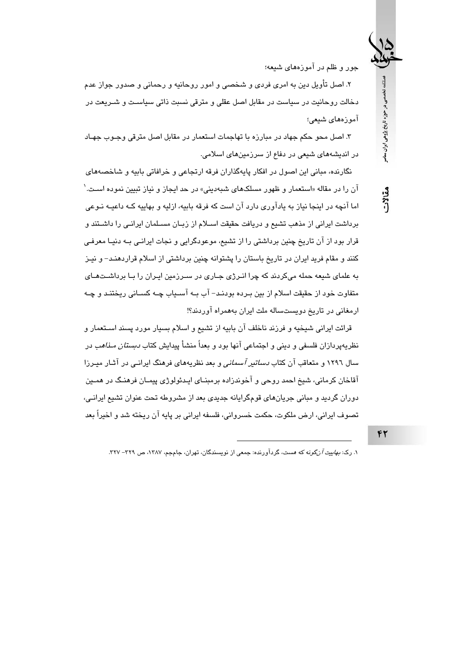جور و ظلم در آموزههای شیعه؛

فصلنامه تخصصی در حوزه تاریخ پژوهی ایران معاصر

مقالات

 $f\gamma$ 

۲. اصل تأویل دین به امری فردی و شخصی و امور روحانیه و رحمانی و صدور جواز عدم دخالت روحانیت در سیاست در مقابل اصل عقلی و مترقی نسبت ذاتی سیاسـت و شــریعت در آموزەھای شیعی؛

۳. اصل محو حکم جهاد در مبارزه با تهاجمات استعمار در مقابل اصل مترقی وجبوب جهباد در اندیشههای شیعی در دفاع از سرزمینهای اسلامی.

نگارنده، مبانی این اصول در افکار پایهگذاران فرقه ارتجاعی و خرافاتی بابیه و شاخصههای آن را در مقاله «استعمار و ظهور مسلکهای شبهدینی» در حد ایجاز و نیاز تبیین نموده اسـت.<sup>\</sup> اما آنچه در اینجا نیاز به یادآوری دارد آن است که فرقه بابیه، ازلیه و بهاییه کـه داعیـه نـوعی برداشت ابرانی از مذهب تشیع و دریافت حقیقت اسپلام از زیبان مسیلمان ابرانبی را داشتند و قرار بود از آن تاریخ چنین برداشتی را از تشیع، موعودگرایی و نجات ایرانـی بـه دنیـا معرفـی کنند و مقام فرید ایران در تاریخ باستان را پشتوانه چنین برداشتی از اسلام قراردهنـد– و نیـز به علمای شیعه حمله میکردند که چرا انـرژی جـاری در سـرزمین ایـران را بـا برداشـتهـای متفاوت خود از حقيقت اسلام از بين بـرده بودنـد– آب بــه آســياب چــه كســاني ريختنـد و چــه ارمغانی در تاریخ دویستساله ملت ایران بههمراه آوردند؟!

قرائت ایرانی شیخیه و فرزند ناخلف آن بابیه از تشیع و اسلام بسیار مورد پسند اسـتعمار و نظریهپردازان فلسفی و دینی و اجتماعی آنها بود و بعداً منشأ پیدایش کتاب *دبستان مـذاهب* در سال ۱۲۹۲ و متعاقب آن کتاب *دساتیر آسمانی* و بعد نظریههای فرهنگ ایرانـی در آشار میـرزا آقاخان کرمانی، شیخ احمد روحی و آخوندزاده برمبنـای ایـدئولوژی پیمـان فرهنـگ در همـین دوران گردید و مبانی جریانهای قومگرایانه جدیدی بعد از مشروطه تحت عنوان تشیع ایرانـی، تصوف ايراني، ارض ملكوت، حكمت خسرواني، فلسفه ايراني بر پايه آن ريخته شد و اخيراً بعد

۱. رک: *بهاییت آنگونه که هست*، گردآورنده: جمعی از نویسندگان، تهران، جامجم، ۱۳۸۷، ص ۳۲۹– ۳۲۷.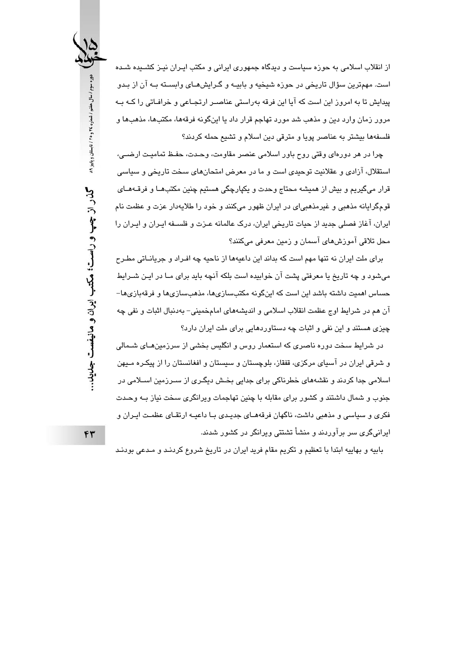از انقلاب اسلامی به حوزه سیاست و دیدگاه جمهوری ایرانی و مکتب ایـران نیـز کشــیده شــده است. مهمترین سؤال تاریخی در حوزه شیخیه و بابیـه و گـرایشهـای وابسـته بـه آن از بـدو پیدایش تا به امروز این است که آیا این فرقه بهراستی عناصـر ارتجـاعی و خرافـاتی را کــه بــه مرور زمان وارد دین و مذهب شد مورد تهاجم قرار داد یا اینگونه فرقهها، مکتبها، مذهبها و فلسفهها بيشتر به عناصر پويا و مترقى دين اسلام و تشيع حمله كردند؟

چرا در هر دورهای وقتی روح باور اسلامی عنصر مقاومت، وحـدت، حفـظ تمامیـت ارضـی، استقلال، آزادی و عقلانیت توحیدی است و ما در معرض امتحانهای سخت تاریخی و سیاسی قرار میگیریم و بیش از همیشه محتاج وحدت و پکپارچگی هستیم چنین مکتبهـا و فرقـههـای قومگرایانه مذهبی و غیرمذهبی|ی در ایران ظهور میکنند و خود را طلایهدار عزت و عظمت نام ايران، آغاز فصلي جديد از حيات تاريخي ايران، درک عالمانه عيزت و فلسيفه اييران و اييران را محل تلاقی آموزشهای آسمان و زمین معرفی میکنند؟

برای ملت ایران نه تنها مهم است که بداند این داعیهها از ناحیه چه افـراد و جریانــاتی مطـرح می،شود و چه تاریخ یا معرفتی پشت آن خوابیده است بلکه آنچه باید برای مـا در ایـن شــرایط حساس اهمیت داشته باشد این است که اینگونه مکتبسازیها، مذهبسازیها و فرقهبازیها– آن هم در شرايط اوج عظمت انقلاب اسلامي و انديشههاي امامخميني- بهدنبال اثبات و نفي چه چیزی هستند و این نفی و اثبات چه دستاوردهایی برای ملت ایران دارد؟

در شرایط سخت دوره ناصری که استعمار روس و انگلیس بخشی از سرزمینهـای شــمالی و شرقی ایران در آسیای مرکزی، قفقاز، بلوچستان و سیستان و افغانستان را از پیکره میهن اسلامی جدا کردند و نقشههای خطرناکی برای جدایی بخش دیگری از سـرزمین اسـلامی در جنوب و شمال داشتند و کشور برای مقابله با چنین تهاجمات ویرانگری سخت نیاز بـه وحـدت فکری و سیاسی و مذهبی داشت، ناگهان فرقههـای جدیـدی بـا داعیـه ارتقـای عظمـت ایـران و ایرانیگری سر برآوردند و منشأ تشتتی ویرانگر در کشور شدند.

بابیه و بهاییه ابتدا با تعظیم و تکریم مقام فرید ایران در تاریخ شروع کردنـد و مـدعی بودنـد

دوره سوم / سال هفتم / شماره ٢٤ و ٢٥ / تابستان و پاییز ٨٩

گذر از چپ و راست؛ مکتب ایران و مانیفست جدید...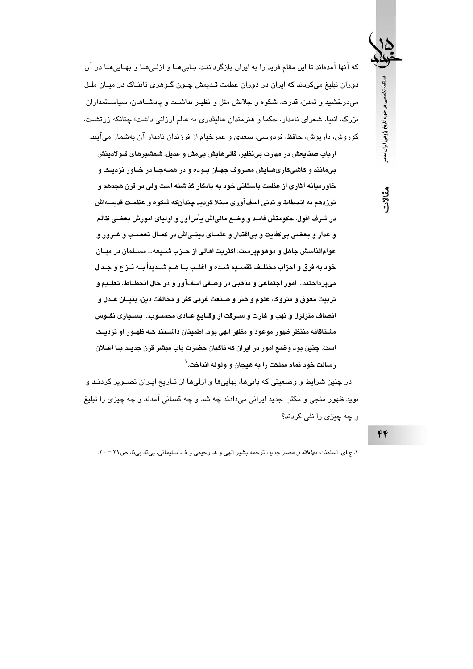که آنها آمدهاند تا این مقام فرید را به ایران بازگرداننـد. بـابیِهـا و ازلـیِهـا و بهـاییِهـا در آن دوران تبلیغ میکردند که ایران در دوران عظمت قـدیمش چـون گـوهری تابنـاک در میـان ملـل می،درخشید و تمدن، قدرت، شکوه و جلالش مثل و نظیـر نداشـت و پادشــاهان، سیاســتمداران بزرگ، انبیا، شعرای نامدار، حکما و هنرمندان عالیقدری به عالم ارزانی داشت؛ چنانکه زرتشـت، کوروش، دارپوش، حافظ، فردوسی، سعدی و عمرخیام از فرزندان نامدار آن پەشمار میآیند.

ارباب صنایعش در مهارت بینظیر، قالیهایش بیمثل و عدیل، شمشیرهای فـولادینش بیمانند و کاشیکاریهـایش معـروف جهـان بــوده و در همــهجـا در خــاور نزدیــک و خاورمیانه آثاری از عظمت باستانی خود به یادگار گذاشته است ولی در قرن هجدهم و نوزدهم به انحطاط و تدنی اسفآوری مبتلا گردید چندانکه شکوه و عظمـت قدیمــهاش در شرف افول، حکومتش فاسد و وضع مالیاش یأسآور و اولیای امورش بعضی ظالم و غدار و بعضی بیکفایت و بیاقتدار و علمـای دینـیاش در کمـال تعصـب و غــرور و عوامالناسش جاهل و موهوميرست. اكثريت اهالي از حـزب شــيعه... مســلمان در ميــان خود به فرق و احزاب مختلــف تقســيم شــده و اغلــب بــا هــم شــديداً بــه نــزاع و جــدال میپرداختند... امور اجتماعی و مذهبی در وصفی اسفآور و در حال انحطـاط، تعلــدم و تربيت معوق و متروک، علوم و هنر و صنعت غربي کفر و مخالفت دين، بنيــان عــدل و انصاف متزلزل و نهب و غارت و سـرقت از وقــايـع عــادى محســوب… بســيارى نفــوس مشتاقانه منتظر ظهور موعود و مظهر الهى بود، اطمينان داشــتند كــه ظهــور او نزديــك است. چنین بود وضع امور در ایران که ناگهان حضرت باب مبشر قرن جدیـد بــا اعــلان رسالت خود تمام مملكت را به هيجان و ولوله انداخت.`

در چنین شرایط و وضعیتی که بابیها، بهاییها و ازلیها از تـاریخ ایـران تصــویر کردنــد و نوید ظهور منجی و مکتب جدید ایرانی میدادند چه شد و چه کسانی آمدند و چه چیزی را تبلیغ و چه چیزی را نفی کردند؟ فصلنامه تخصصی در حوزه تاریخ پژوهی ایران ساصر

 $f$ 

١. ج.اي. اسلمنت، بهاء/لله و عصر جديد، ترجمه بشير الهي و هـ رحيمي و ف. سليماني، بي تا، بي نا، ص ٢١ - ٢٠.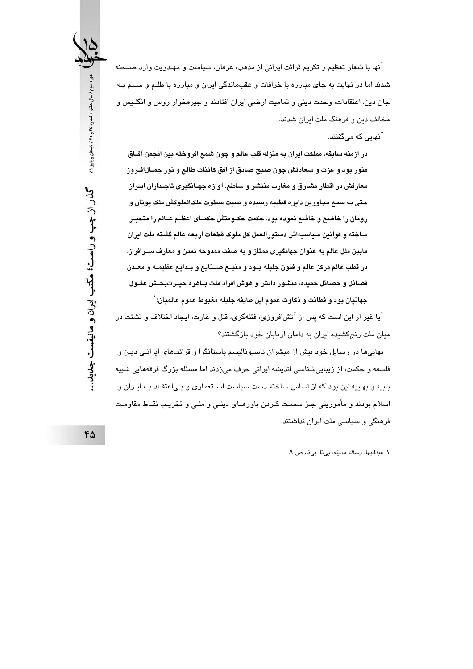آنها با شعار تعظیم و تکریم قرائت ایرانی از مذهب، عرفان، سیاست و مهـدویت وارد صــحنه شدند اما در نهایت به جای مبارزه با خرافات و عقبماندگی ایران و مبارزه با ظلـم و سـتم بـه جان دین، اعتقادات، وحدت دینی و تمامیت ارضی ایران افتادند و جیرهخوار روس و انگلـیس و مخالف دین و فرهنگ ملت ایران شدند.

آنهایی که میگفتند:

در ازمنه سابقه، مملكت ايران به منزله قلب عالم و چون شمع افروخته بين انجمن آفــاق منور بود و عزت و سعادتش چون صبح صادق از افق کائنات طالع و نور جمــال|فــروز معارفش در اقطار مشارق و مغارب منتشر و ساطع. آوازه جهـانگیری تاجـداران ایــران حتی به سمع مجاورین دایره قطبیه رسیده و صبت سطوت ملکالملوکش ملک یونان و رومان را خاضع و خاشع نموده بود. حکمت حکـومتش حکمــای اعظــم عــالم را متحيــر ساخته و قوانین سیاسیهاش دستورالعمل کل ملوک قطعات اربعه عالم گشته ملت ایران مابین ملل عالم به عنوان جهانگیری ممتاز و به صفت ممدوحه تمدن و معارف ســرافراز. در قطب عالم مرکز عالم و فنون جلیله بــود و منبــع صــنایـع و بــدایـع عظیمــه و معــدن فضائل و خصائل حمیده، منشور دانش و هوش افراد ملت بــاهره حبــرت بـخـش عقــول جهانيان بود و فطانت و ذكاوت عموم ابن طايفه جليله مغبوط عموم عالميان؛ `

آیا غیر از این است که پس از آتشافروزی، فتنهگری، قتل و غارت، ایجاد اختلاف و تشتت در میان ملت رنجکشیده ایران به دامان اربابان خود بازگشتند؟

بهایی ها در رسایل خود بیش از مبشران ناسیونالیسم باستانگرا و قرائتهای ایرانـی دیـن و فلسفه و حکمت، از زیبایی شناسی اندیشه ایرانی حرف می;زدند اما مسئله بزرگ فرقههایی شبیه بابیه و بهاییه این بود که از اساس ساخته دست سیاست اسـتعماری و بـی|عتقـاد بـه ایـران و اسلام بودند و مأموریتی جـز سسـت کـردن باورهـای دینـی و ملـی و تخریـب نقـاط مقاومـت فرهنگی و سیاسی ملت ایران نداشتند.

٠. عبدالبها، *رساله مدينه*، بي تا، بي نا، ص ٩.

دوره سوم / سال هفتم / شماره ٢٤ و ٢٥ / تابستان و پاییز ٨٩ گذر از چپ و راست؛ مکتب ایران و مانیفست جلىيد…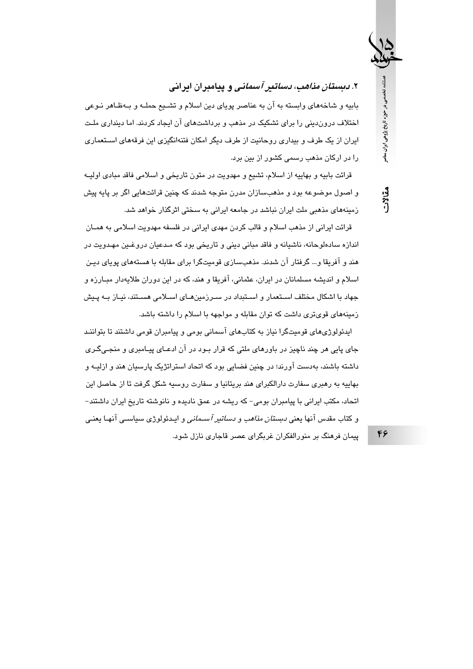۲. *دبستان مذاهب، دساتیر آسمانی* و پیامبران ایرانی

بابیه و شاخههای وابسته به آن به عناصر پویای دین اسلام و تشـیع حملـه و بـهظـاهر نـوعی اختلاف دروندینی را برای تشکیک در مذهب و برداشتهای آن ایجاد کردند. اما دینداری ملت ایران از یک طرف و بیداری روحانیت از طرف دیگر امکان فتنهانگیزی این فرقههای استعماری را در ارکان مذهب رسمی کشور از بین برد.

قرائت بابیه و بهاییه از اسلام، تشیع و مهدویت در متون تاریخی و اسلامی فاقد مبادی اولیــه و اصول موضوعه بود و مذهبسازان مدرن متوجه شدند که چنین قرائتهایی اگر بر پایه پیش زمینههای مذهبی ملت ایران نباشد در جامعه ایرانی به سختی اثرگذار خواهد شد.

قرائت ايراني از مذهب اسلام و قالب كردن مهدي ايراني در فلسفه مهدويت اسلامي به همــان اندازه سادهلوحانه، ناشیانه و فاقد مبانی دینی و تاریخی بود که مـدعیان دروغـین مهـدویت در هند و آفریقا و… گرفتار آن شدند. مذهبسازی قومیتگرا برای مقابله با هستههای پویای دیـن اسلام و اندیشه مسلمانان در ایران، عثمانی، آفریقا و هند، که در این دوران طلایهدار مبـارزه و جهاد با اشکال مختلف اسـتعمار و اسـتبداد در سـرزمینهـای اسـلامی هسـتند، نیـاز بـه پـیش زمینههای قویتری داشت که توان مقابله و مواجهه با اسلام را داشته باشد.

ایدئولوژیهای قومیتگرا نیاز به کتابهای آسمانی بومی و پیامبران قومی داشتند تا بتواننـد جای پایی هر چند ناچیز در باورهای ملتی که قرار بـود در آن ادعـای پیـامبری و منجـیگـری داشته باشند، بهدست آورند؛ در چنین فضایی بود که اتحاد استراتژیک پارسیان هند و ازلیــه و بهاییه به رهبری سفارت دارالکبرای هند بریتانیا و سفارت روسیه شکل گرفت تا از حاصل این اتحاد، مکتب ایرانی با پیامبران بومی– که ریشه در عمق نادیده و نانوشته تاریخ ایران داشتند– و کتاب مقدس آنها یعن*ی دبستان مذاهب و دساتیر آسـمانی و* ایـدئولوژی سیاسـی آنهـا یعنـی پیمان فرهنگ بر منورالفکران غربگرای عصر قاجاری نازل شود.

46

فصلنامه تخصصى در حوزه تاريخ پژوهى ايران معاصر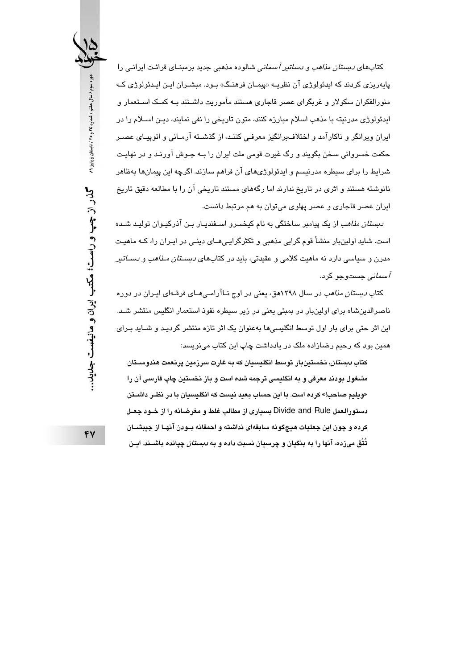کتابها*ی دبستان مذاهب و دساتیر آسمانی* شالوده مذهبی جدید برمبنـای قرائـت ایرانـی را پاپهريزي کردند که ايدئولوژي آن نظريــه «پيمــان فرهنـگ» بــود. مېشــران ايــن ايــدئولوژي کــه منورالفکران سکولار و غربگرای عصر قاجاری هستند مأموریت داشـتند بـه کمـک اسـتعمار و ایدئولوژی مدرنیته با مذهب اسلام مبارزه کنند، متون تاریخی را نفی نمایند، دیـن اســلام را در ابران وبرانگر و ناکارآمد و اختلاف رانگیز معرفی کنند، از گذشته آرمیانی و اتوپییای عصیر حکمت خسروانی سخن بگویند و رگ غیرت قومی ملت ایران را بـه جـوش آورنـد و در نهایـت شرایط را برای سیطره مدرنیسم و ایدئولوژیهای آن فراهم سازند. اگرچه این پیمانها بهظاهر نانوشته هستند و اثری در تاریخ ندارند اما رگههای مستند تاریخی آن را با مطالعه دقیق تاریخ ايران عصر قاجاري و عصر پهلوي مي توان به هم مرتبط دانست.

*دستان مناهب* از یک پیامبر ساختگی به نام کنخسرو استفندیار بین آذرکیبوان تولید شیده است. شاید اولینبار منشأ قوم گرایی مذهبی و تکثرگرایـی۵ــای دینـی در ایـران را، کــه ماهیـت مدرن و سیاسی دارد نه ماهیت کلامی و عقیدتی، باید در کتابهای *دبستان مـذاهب و دسـاتیر آسمانی* حستوحو کرد.

کتاب *دبستان مذاهب* در سال ۱۲۹۸هق، یعنی در اوج نــاآرامـی،*هــای* فرقــهای ایــران در دوره ناصرالدینشاه برای اولینبار در بمبئی یعنی در زیر سیطره نفوذ استعمار انگلیس منتشر شد. این اثر حتی برای بار اول توسط انگلیسیها بهعنوان یک اثر تازه منتشر گردید و شــاید بـرای همین بود که رحیم رضازاده ملک در یادداشت چاپ این کتاب می،نویسد:

کتاب *دبستان،* نخستینبار توسط انگلیسیان که به غارت سرزمین پرنعمت هندوسـتان مشغول بودند معرفی و به انگلیسی ترجمه شده است و باز نخستین چاپ فارسی آن را «ويليم صاحب!» كرده است. با اين حساب بعيد نيست كه انگليسيان با در نظـر داشــتن دستورالعمل Divide and Rule بسياري از مطالب غلط و مغرضانه را از خـود جعـل كرده و چون اين جعليات هيچگونه سابقهاي نداشته و احمقانه بــودن آنهــا از جيبشـــان تُتُق میزده، آنها را به بنگیان و چرسیان نسبت داده و به *دبستان* چپانده باشــند. ایــن

FV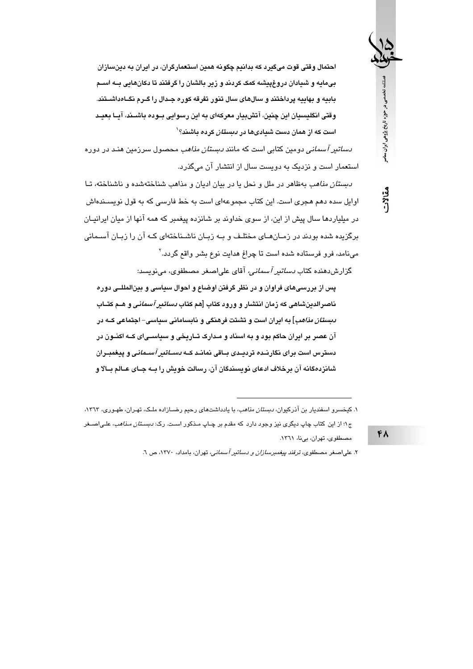احتمال وقتی قوت میگیرد که بدانیم چگونه همین استعمارگران، در ایران به دینسازان بیمایه و شیادان دروغپیشه کمک کردند و زیر بالشان را گرفتند تا دکانهایی بــه اســم بابیه و بهاییه پرداختند و سالهای سال تنور تفرقه کوره جـدال را گـرم نگـاهداشــتند. وقتی انگلیسیان این چنین، آتشبیار معرکهای به این رسوایی بــوده باشــند، آیــا بـعیــد است که از همان دست شیادیها در *دستان* کرده داشند؟<sup>\</sup>

*دساتیر آسمانی د*ومین کتابی است که مانن*د دبستان مذاهب* محصول سرزمین هنـد در دوره استعمار است و نزدیک به دویست سال از انتشار آن میگذرد.

*دبستان مذاهب* بهظاهر در ملل و نحل یا در بیان ادیان و مذاهب شناختهشده و ناشناخته، تـا اوایل سده دهم هجری است. این کتاب مجموعهای است به خط فارسی که به قول نویســندهاش در میلیاردها سال پیش از این، از سوی خداوند بر شانزده پیغمبر که همه آنها از میان ایرانیـان برگزیده شده بودند در زمـانهـای مختلـف و بـه زبـان ناشـناختهای کـه آن را زبـان آسـمانی می:نامد، فرو فرستاده شده است تا چراغ هدایت نوع بشر واقع گردد.<sup>۲</sup>

گزارشدهنده کتاب *دساتیر آسمانی،* آقای علیاصغر مصطفوی، مینویسد:

پس از بررسیهای فراوان و در نظر گرفتن اوضاع و احوال سیاسی و بینالمللــی دوره ناصرالدبنشاهی که زمان انتشار و ورود کتاب [هم کتاب *دساتبر آسمانی* و هــم کتــاب *دبستان مذاهب*] به ایران است و تشتت فرهنگی و نابسامانی سیاسی- اجتماعی کــه در آن عصر بر ایران حاکم بود و به اسناد و مـدارک تــاریخی و سیاســیای کــه اکنــون در دسترس است درای نگار نـده تردیـدی بـاقی نمانـد کـه *دسـاتیر آسـمانی* و پیغمبـران شانزدهگانه آن برخلاف ادعای نویسندگان آن، رسالت خویش را بــه جـای عــالم بــالا و

### $FA$

ملنامه تخصصی در حوزه تاریخ پژوهی ایران ساصر

۱. کیخسرو اسفندیار بن آذرکیوان، *دبستان مذاهب*، با یادداشتهای رحیم رضــازاده ملـک، تهـران، طهـوری، ۱۳٦۳، ج۱؛ از این کتاب چاپ دیگری نیز وجود دارد که مقدم بر چـاپ مـذکور اسـت. رک: *دبسـتان مـذاهب*، علـی|صــغر مصطفوى، تهران، بىنا، ١٣٦١.

۲. علی اصغر مصطفوی، ترفند بیغمبرس*ازان و دساتیر آسمانی،* تهران، بامداد، ۱۳۷۰، ص ۲.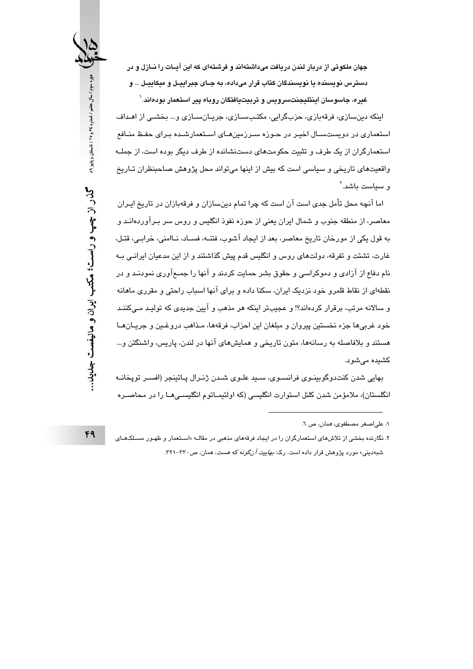جهان ملکوتی از دربار لندن دریافت میداشتهاند و فرشتهای که این آیــات را نــازل و در دسترس نویسنده یا نویسندگان کتاب قرار میداده، به جـای جبراییـل و میکاییـل ... و غیره، جاسوسان اینتلیجنتسرویس و تربیتیافتگان روباه پیر استعمار بودهاند.`

اینکه دینسازی، فرقهبازی، حزبگرایی، مکتبسازی، جریانسازی و ... بخشی از اهداف استعماری در دویستسـال اخیـر در حـوزه سـرزمینهـای اسـتعمارشـده بـرای حفـظ منـافع استعمارگران از یک طرف و تثبیت حکومتهای دستنشانده از طرف دیگر بوده است، از جملـه واقعیتهای تاریخی و سیاسی است که بیش از اینها میتواند محل پژوهش صاحبنظران تـاریخ و سياست ماشد.<sup>٢</sup>

اما آنچه محل تأمل جدی است آن است که چرا تمام دینسازان و فرقهبازان در تاریخ ایـران معاصر، از منطقه جنوب و شمال ایران یعنی از حوزه نفوذ انگلیس و روس سر بـرآوردهانـد و به قول یکی از مورخان تاریخ معاصر، بعد از ایجاد آشوب، فتنــه، فســاد، نــاامنی، خرابـی، قتـل، غارت، تشتت و تفرقه، دولتهای روس و انگلیس قدم پیش گذاشتند و از این مدعیان ایرانـی بـه نام دفاع از آزادی و دموکراسی و حقوق بشر حمایت کردند و آنها را جمـعآوری نمودنـد و در نقطهای از نقاط قلمرو خود نزدیک ایران، سکنا داده و برای آنها اسباب راحتی و مقرری ماهانه و سالانه مرتب، برقرار کردهاند؟! و عجیبتر اینکه هر مذهب و آیین جدیدی که تولیـد مـیکننـد خود غربيها جزء نخستين پيروان و مبلغان اين احزاب، فرقهها، مـذاهب دروغـين و جريـانهـا هستند و بلافاصله به رسانهها، متون تاریخی و همایشهای آنها در لندن، پاریس، واشنگتن و… كشيده مى شود.

بهايي شدن كنتدوگوبينـوي فرانسـوي، سـيد علـوي شـدن ژنـرال پـاتينجر (افسـر توپخانــه انگلستان)، ملامؤمن شدن کلنل استوارت انگلیسی (که اولتیمـاتوم انگلیسـی۱مـا را در محاصـره

دوره سوم / سال هفتم / شماره ٢٤ و ٢٥ / تابستان و پاییز ٨٩ گذر از چپ و راست؛ مکتب ایران و مانیفست جداید..

١. على اصغر مصطفوى، *همان*، ص ٦.

۲. نگارنده بخشی از تلاش *های اس*تعمارگران را در ایجاد فرقههای مذهبی در مقالـه «اسـتعمار و ظهـور مسـلکـهـای شبهدینی» مورد پژوهش قرار داده است. رک: *بهاییت آنگونه که هست*، همان، ص۳۳۰–۳۲۱.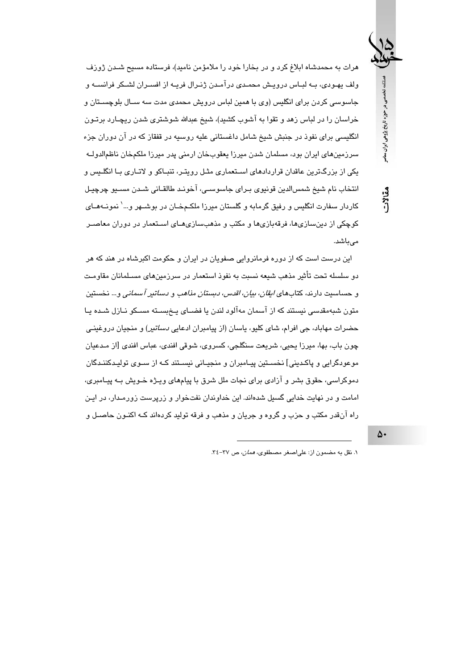هرات به محمدشاه ابلاغ کرد و در بخارا خود را ملامؤمن نامید)، فرستاده مسیح شـدن ژورف ولف پهـودي، بــه لبــاس درويــش محمـدي درآمـدن ژنـرال فريــه از افسـران لشــكر فرانســه و جاسوسی کردن برای انگلیس (وی با همین لباس درویش محمدی مدت سه سـال بلوچسـتان و خراسان را در لباس زهد و تقوا به آشوب کشید)، شیخ عبدالله شوشتری شدن ریچـارد برتـون انگلیسی برای نفوذ در جنبش شیخ شامل داغستانی علیه روسیه در قفقاز که در آن دوران جزء سرزمینهای ایران بود، مسلمان شدن میرزا یعقوبخان ارمنی پدر میرزا ملکمخان ناظمالدولـه یکی از بزرگترین عاقدان قراردادهای اسـتعماری مثـل رویتـر، تنبـاکو و لاتـاری بـا انگلـیس و انتخاب نام شيخ شمسالدين قونيوي بـراي جاسوسـي، آخونـد طالقـاني شـدن مسـيو چرچيـل کاردار سفارت انگلیس و رفیق گرمابه و گلستان میرزا ملکـمخـان در بوشــهر و…' نمونــههــای کوچکی از دین،سازیها، فرقهبازیها و مکتب و مذهب،سازیهبای استعمار در دوران معاصیر مے باشد.

این درست است که از دوره فرمانروایی صفویان در ایران و حکومت اکبرشاه در هند که هر دو سلسله تحت تأثیر مذهب شیعه نسبت به نفوذ استعمار در سرزمینهای مسلمانان مقاومت و حساسیت دارند، کتابهای *ابقان، بیان، اقدس، دبستان مذاهب و دساتیر آسمانی و*… نخستین متون شبهمقدسی نیستند که از آسمان مهآلود لندن یا فضـای پـخبسـته مسـکو نـازل شـده پـا حضرات مهاباد، جی افرام، شای کلیو، پاسان (از پیامبران ادعایی *دساتیر*) و منجیان دروغینـی چون باب، بها، میرزا یحیی، شریعت سنگلجی، کسروی، شوقی افندی، عباس افندی [از مـدعیان موعودگرايي و پاکديني] نخسـتين پيـامبران و منجيـاني نيسـتند کـه از سـوي توليـدکننـدگان دموکراسی، حقوق بشر و آزادی برای نجات ملل شرق با پیامهای ویـژه خـویش بـه پیـامبری، امامت و در نهایت خدایی گسیل شدهاند. این خداوندان نفتخوار و زرپرست زورمـدار، در ایـن راه آنقدر مکتب و حزب و گروه و جریان و مذهب و فرقه تولید کردهاند کـه اکنـون حاصـل و

١. نقل به مضمون از: على اصغر مصطفوى، *همان،* ص ٣٧-٣٤.

 $\Delta$ 

فصلنامه تخصصی در حوزه تاریخ پژوهی ایران معاصر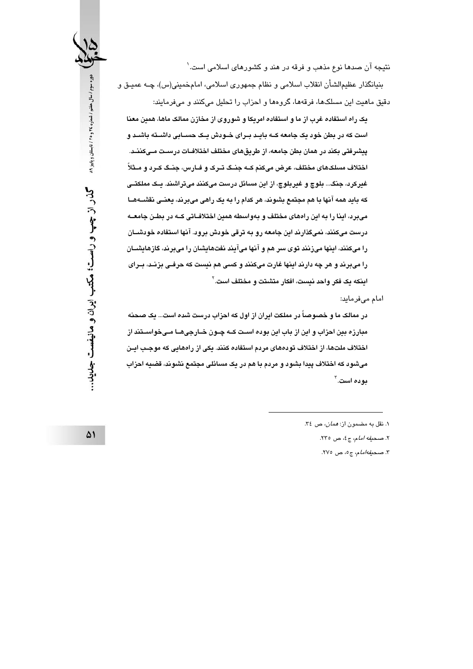نتیجه آن صدها نوع مذهب و فرقه در هند و کشورهای اسلامی است.` بنيانگذار عظيمالشأن انقلاب اسلامي و نظام جمهوري اسلامي، امامخميني(س)، چــه عميــق و

دقیق ماهیت این مسلکها، فرقهها، گروهها و احزاب را تحلیل میکنند و میفرمایند:

یک راه استفاده غرب از ما و استفاده امریکا و شوروی از مخازن ممالک ماها، همین معنا است که در بطن خود یک جامعه کیه بایید پیرای خیودش یک حسیاتی داشیته باشید و پیشرفتی بکند در همان بطن جامعه، از طریقهای مختلف اختلافـات درسـت مــیکننــد. اختلاف مسلکهای مختلف، عرض میکنم کـه جنـگ تـرک و فـارس، جنـگ کـرد و مـثلاً غیرکرد، جنگ… بلوچ و غیربلوچ، از این مسائل درست میکنند میتراشند. یـک مملکتــی که باید همه آنها با هم مجتمع بشوند، هر کدام را به یک راهی میبرند، یعنـی نقشــههــا میبرد، اینا را به این رادهای مختلف و بهواسطه همین اختلافـاتی کــه در بطـن جامعــه درست میکنند، نمیگذارند این جامعه رو به ترقی خودش برود. آنها استفاده خودشیان را میکنند، اینها میزنند توی سر هم و آنها میآیند نفتهایشان را میپرند، گازهایشیان را میبرند و هر چه دارند اینها غارت میکنند و کسی هم نیست که حرفـی بزنــد، بــرای اينكه يك فكر واحد نيست، افكار متشتت و مختلف است. `

امام میفرماید:

در ممالک ما و خصوصاً در مملکت ایران از اول که احزاب درست شده است… یک صحنه مبارزه بین احزاب و این از باب این بوده است کــه چــون خــارجیهــا مــیخواســتند از اختلاف ملتها، از اختلاف تودههای مردم استفاده کنند. یکی از راههایی که موجب ایـن میشود که اختلاف پیدا بشود و مردم با هم در یک مسائلی مجتمع نشوند، قضیه احزاب بوده است. ۳

۰۱ نقل به مضمون از: *همان،* ص ۳٤.

٢. صحيفه امام، ج٤، ص ٢٣٥.

٣. صحيفه امام، ج٥، ص ٢٧٥.

گذر از چپ و راست؛ مکتب ایران و مانیفست جلبید…

دوره سوم / سال هفتم / شماره ٢٤ و ٢٥ / تابستان و پاییز ٨٩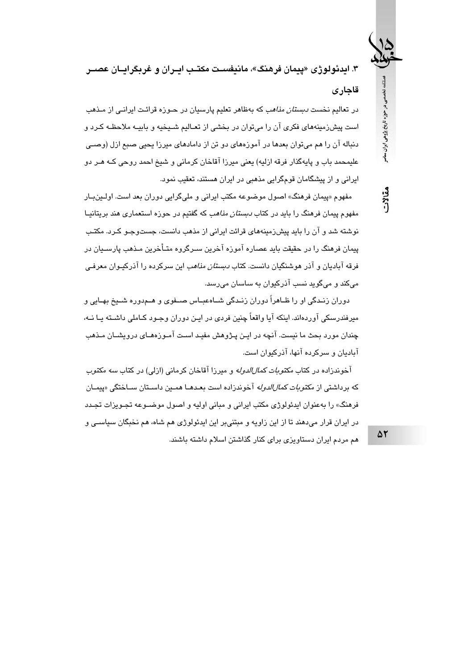۳. ایدئولوژی «پیمان فرهنگ»، مانیف*س*ت مکتب ایران و غریگراییان عصبر قاجارى

در تعالیم نخست *دستان مذاهب* که بهظاهر تعلیم پارسیان در حبوزه قرائت ایران*ی* از میذهب است پیشزمینههای فکری آن را می توان در بخشی از تعـالیم شـیخیه و بابیـه ملاحظـه کـرد و دنباله آن را هم می توان بعدها در آموزههای دو تن از دامادهای میرزا بچنی صیم ازل (وصبی عليمحمد باب و پايهگذار فرقه ازليه) يعني ميرزا آقاخان كرماني و شيخ احمد روحي كـه هـر دو ایرانی و از پیشگامان قومگرایی مذهبی در ایران هستند، تعقیب نمود.

مفهوم «پیمان فرهنگ» اصول موضوعه مکتب ایرانی و ملیگرایی دوران بعد است. اولـینبـار مفهوم پیمان فرهنگ را باید در کتاب *دبستان مذاهب* که گفتیم در حوزه استعماری هند بریتانیـا نوشته شد و آن را باید پیش;دمینههای قرائت ایرانی از مذهب دانست، جستوجـو کـرد. مکتـب پیمان فرهنگ را در حقیقت باید عصاره آموزه آخرین سـرگروه متـأخرین مـذهب پارســیان در فرقه آبادیان و آذر هوشنگیان دانست. کتاب *دبستان مذاهب* این سرکرده را آذرکیـوان معرفـی میکند و میگوید نسب آذرکیوان به ساسان می٫رسد.

دوران زنـدگی او را ظـاهراً دوران زنـدگی شــاهعبـاس صــفوی و هــمدوره شــیخ بهـایی و میرفندرسکی آوردهاند. اینکه آیا واقعاً چنین فردی در این دوران وجبود کیاملی داشته ییا نیه، چندان مورد بحث ما نیست. آنچه در ایـن پـژوهش مفیـد اسـت آمـوزههـای درویشــان مـذهب آبادیان و سرکرده آنها، آذرکیوان است.

آخوندزاده در کتاب *مکتوبات کمال الدوله* و میرزا آقاخان کرمانی (ازلی) در کتاب *سه مکتو*ب که بر داشتی از مکت*و بات کمال الدو له* آخو ندز اده است بعـدهـا همـین داسـتان سـاختگی «بیمـان فرهنگ» را بهعنوان ابدئولوژی مکتب ابرانی و مبانی اولیه و اصول موضیوعه تجبویزات تجیده در ايران قرار مي دهند تا از اين زاويه و مبتني بر اين ايدئولوژي هم شاه، هم نخبگان سياسـي و هم مردم ایران دستاویزی برای کنار گذاشتن اسلام داشته باشند.

5٢

فصلنامه تخصصی در حوزه تاریخ پژوهی ایران معاصر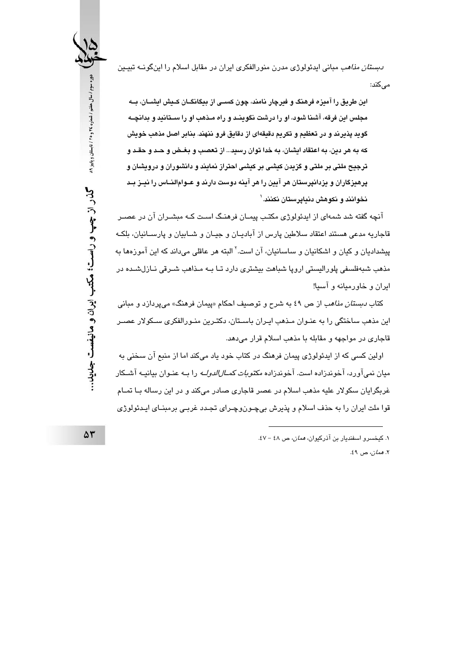*دبستان مذاهب* مبانی ایدئولوژی مدرن منورالفکری ایران در مقابل اسلام را اینگونــه تبیــین مے کند:

این طریق را آمیزه فرهنگ و فبرچار نامند، چون کسبی از بیگانگــان کــیش ایشــان، بــه مجلس این فرقه، آشنا شود، او را درشت نگوینـد و راه مـذهب او را سـتانید و بدانچـه گوید پذیرند و در تعظیم و تکریم دقیقهای از دقایق فرو ننهند. بنابر اصل مذهب خویش که به هر دین، به اعتقاد ایشان، به خدا توان رسید... از تعصب و بغـض و حـد و حقـد و ترجیح ملتی بر ملتی و گزیدن کیشی بر کیشی احتراز نمایند و دانشوران و درویشان و پرهیزگاران و یزدانپرستان هر آیین را هر آینه دوست دارند و عــوام|لنــاس را نیــز بــد نخوانند و نکوهش دنیایرستان نکنند. ۱

آنچه گفته شد شمهای از ایدئولوژی مکتب پیمـان فرهنـگ اسـت کـه مبشـران آن در عصـر قاجاریه مدعی هستند اعتقاد سلاطین پارس از آبادیـان و جیـان و شــابیان و پارســانیان، بلکـه پیشدادیان و کیان و اشکانیان و ساسانیان، آن است.<sup>۲</sup> البته هر عاقلی میداند که این آموزهها به مذهب شبهفلسفی پلورالیستی اروپا شباهت بیشتری دارد تـا بــه مـذاهب شـرقی نــازلشــده در ایران و خاورمیانه و آسیا!

کتاب *دبستان مذاهب* از ص ٤٩ به شرح و توصیف احکام «پیمان فرهنگ» میپردازد و مبانی این مذهب ساختگی را به عنـوان مـذهب ایـران باسـتان، دکتـرین منـورالفکری سـکولار عصـر قاجاری در مواجهه و مقابله با مذهب اسلام قرار میدهد.

اولین کسی که از ایدئولوژی پیمان فرهنگ در کتاب خود یاد میکند اما از منبع آن سخنی به میان نمیآورد، آخوندزاده است. آخوندزاده *مکتوبات کمــالالدولــه* را بــه عنـوان بیانیــه آشــکار غربگرایان سکولار علیه مذهب اسلام در عصر قاجاری صادر میکند و در این رساله بـا تمـام قوا ملت ایران را به حذف اسلام و پذیرش بیچـونوچـرای تجـدد غربـی برمبنـای ایـدئولوژی

٢. *همان،* ص ٤٩.

دوره سوم / سال هفتم / شماره ٢٤ و ٢٥ / تابستان و پاییز ٨٩ کذر از چپ و راست؛ مکتب ایران و مانیفست جدید.

۱. کیخسرو اسفندیار بن آذرکیوان، *همان*، ص ٤٨ - ٤٧.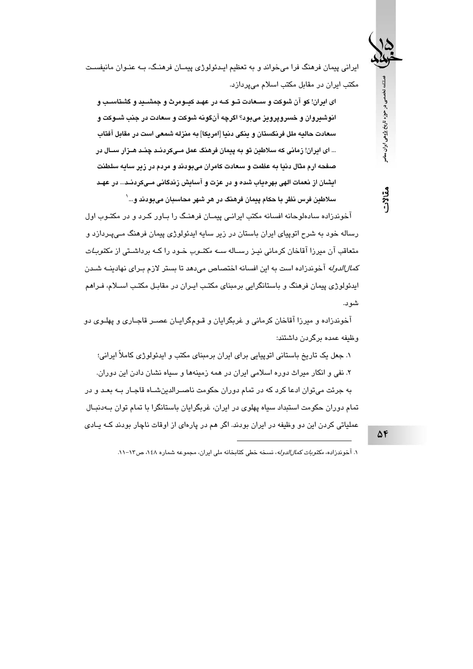ایرانی پیمان فرهنگ فرا میخواند و به تعظیم ایـدئولوژی پیمـان فرهنـگ، بـه عنـوان مانیفسـت مکتب ایران در مقابل مکتب اسلام میپردازد.

ای ایران! کو آن شوکت و سـعادت تــو کــه در عهـد کیــومرث و جمشــید و گشتاسـب و انوشیروان و خسرویرویز میبود؟ اگرچه آنگونه شوکت و سعادت در جنب شــوکت و سعادت حالیه ملل فرنگستان و ینگی دنیا [امریکا] به منزله شمعی است در مقابل آفتاب ... ای ایران! زمانی که سلاطین تو به پیمان فرهنگ عمل مــیکردنــد چنــد هــزار ســال در صفحه ارم مثال دنیا به عظمت و سعادت کامران میبودند و مردم در زیر سایه سلطنت ایشان از نعمات الهی بهرهیاب شده و در عزت و آسایش زندگانی مـیکردنـد... در عهـد سلاطین فرس نظر با حکام پیمان فرهنگ در هر شهر محاسبان میبودند و ... `

آخوندزاده سادهلوحانه افسانه مکتب ایرانـی پیمـان فرهنـگ را بـاور کـرد و در مکتـوب اول رساله خود به شرح اتوپیای ایران باستان در زیر سایه ایدئولوژی پیمان فرهنگ مے،پـردازد و م**تعا**قب آن میرزا آقاخان کرمانی نیـز رسـاله *سـه مکتـوب* خـود را کـه برداشـتی از *مکتوبـات كمالالدوله* آخوندزاده است به ابن افسانه اختصاص می دهد تا بستر لازم بیرای نهادینیه شیدن ایدئولوژی پیمان فرهنگ و باستانگرایی برمبنای مکتب ایـران در مقابـل مکتـب اســلام، فـراهـم شو د.

آخوندزاده و میرزا آقاخان کرمانی و غربگرایان و قـومگرایـان عصـر قاجـاری و پهلـوی دو وظيفه عمده برگردن داشتند:

۱. جعل یک تاریخ باستانی اتوپیایی برای ایران برمبنای مکتب و ایدئولوژی کاملاً ایرانی؛ ۲. نفی و انکار میراث دوره اسلامی ایران در همه زمینهها و سیاه نشان دادن این دوران. به جرئت می توان ادعا کرد که در تمام دوران حکومت ناصـرالدینشـاه قاجـار بـه بعـد و در تمام دوران حکومت استبداد سیاه پهلوی در ایران، غربگرایان باستانگرا با تمام توان بــهدنبــال عملیاتی کردن این دو وظیفه در ایران بودند. اگر هم در پارهای از اوقات ناچار بودند کـه پــادی

 $\Delta f$ 

فصلنامه تخصصی در حوزه تاریخ پژوهی ایران معاصر

مقالات

١. آخوندزاده، مكت*وبات كمال الدوله*، نسخه خطى كتابخانه ملى ايران، مجموعه شماره ١٤٨، ص٦٢-١١.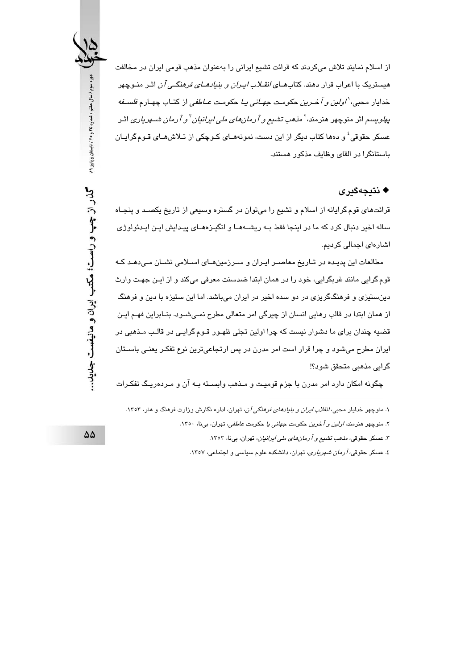از اسلام نمایند تلاش میکردند که قرائت تشیع ایرانی را بهعنوان مذهب قومی ایران در مخالفت هیستریک با اعراب قرار دهند. کتابهـای *انقـلاب ایـران و بنیادهـای فرهنگـی آن* اثـر منـوچهر خدايار محبي، *'اولين و آخـرين حكومـت جهـاني يـا حكومـت عــاطفي* از كتـاب چهـارم *فلســفه* پ*هلو*یسم اثر منوچهر هنرمند،<sup>۲</sup> م*ذهب تشیع و آرمانهای ملی ایرانیان* <sup>۲</sup>و *آرمان شــهریاری* اثـر عسکر حقوقی ٔ و دمها کتاب دیگر از این دست، نموزههـای کـوچکی از تـلاشهـای قـومگرایـان باستانگرا در القای وظایف مذکور هستند.

#### ♦ نتىجەگىرى

قرائتهای قوم گرایانه از اسلام و تشیع را میتوان در گستره وسیعی از تاریخ یکصـد و پنجـاه ساله اخیر دنبال کرد که ما در اینجا فقط بـه ریشــهمـا و انگیـزهمـای پیـدایش ایـن ایـدئولوژی اشارەای اجمالی کردیم.

مطالعات این پدیده در تـاریخ معاصـر ایـران و سـرزمینهـای اسـلامی نشـان مـی،دهـد کـه قوم گرایی مانند غربگرایی، خود را در همان ابتدا ضدسنت معرفی میکند و از ایـن جهـت وارث دینستیزی و فرهنگگریزی در دو سده اخیر در ایران میباشد. اما این ستیزه با دین و فرهنگ از همان ابتدا در قالب رهایی انسان از چیرگی امر متعالی مطرح نمـیشـود. بنــابراین فهـم ایـن قضیه چندان برای ما دشوار نیست که چرا اولین تجلی ظهـور قـوم گرایـی در قالـب مـذهبی در ایران مطرح میشود و چرا قرار است امر مدرن در پس ارتجاعیترین نوع تفکـر یعنـی باسـتان گرايى مذهبى متحقق شود؟!

چگونه امکان دارد امر مدرن با جزم قومیت و مـذهب وابســته بــه آن و مـردهریـگ تفکـرات

دوره سوم / سال هفتم / شماره ٢٤ و ٢٥ / تابستان و پاییز ٨٩ گذر از چپ و راست؛ مکتب ایران و مانیفست جمانید..

۱. منوچهر خدایار محب*ی، انقلاب ایران و بنیادهای فرهنگی آن*، تهران، اداره نگارش وزارت فرهنگ و هنر، ۱۳۵۳.

۲. منوچهر هنرمند، *اولین و آخرین حکومت جهانی یا حکومت عاطفی،* تهران، بینا، ۱۳۰۰.

۳. عسکر حقوقی، *مذهب تشیع و آرمانهای ملی ایرانیان*، تهران، بینا، ۱۳۵۳.

٤. عسکر حقوقی، *آرمان شهریاری،* تهران، دانشکده علوم سیاسی و اجتماعی، ١٣٥٧.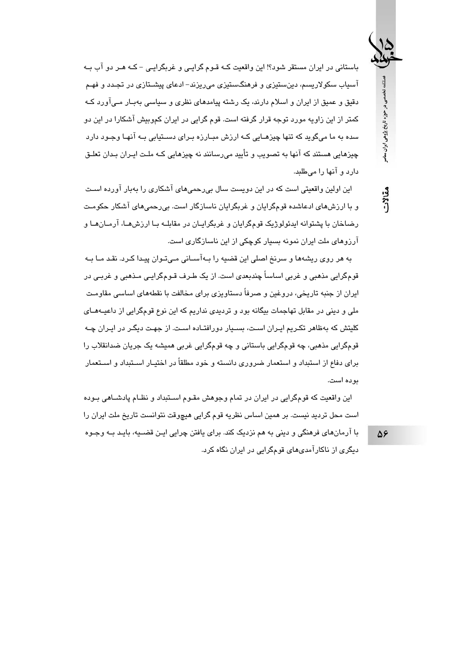فصلنامه تخصصى در حوزه تاريخ پژوهى ايران معاصر

مقالات

باستانی در ایران مستقر شود؟! این واقعیت کـه قـوم گرایـی و غربگرایـی – کـه هـر دو آب بـه آسیاب سکولاریسم، دینِستیزی و فرهنگستیزی میریزند– ادعای پیشـتازی در تجـدد و فهـم دقیق و عمیق از ایران و اسلام دارند، یک رشته پیامدهای نظری و سیاسی بهبـار مـیآورد کـه کمتر از این زاویه مورد توجه قرار گرفته است. قوم گرایی در ایران کموبیش آشکارا در این دو سده به ما میگوید که تنها چیزهـایی کـه ارزش میـارزه پیرای دستتبایی پـه آنهـا وجـود دارد چیزهایی هستند که آنها به تصویب و تأیید میرسانند نه چیزهایی کـه ملـت ایـران بـدان تعلـق دارد و آنها را مے طلعد.

این اولین واقعیتی است که در این دویست سال بی٫رحمی۵ای آشکاری را بهبار آو٫رده اسـت و با ارزشهای ادعاشده قومگرایان و غربگرایان ناسازگار است. بی رحمیهای آشکار حکومت رضاخان با پشتوانه ابدئولوژیک قومگرایان و غریگراییان در مقابلیه ییا ارزش هیا، آرمیان هیا و آرزوهای ملت ایران نمونه بسیار کوچکی از این ناسازگاری است.

به هر روی ریشهها و سرنخ اصلی این قضیه را بـهآسـانی مـیتـوان پیـدا کـرد. نقـد مـا بـه قومگرایی مذهبی و غربی اساساً چندبعدی است. از یک طـرف قـومگرایـی مـذهبی و غربـی در ایران از جنبه تاریخی، دروغین و صرفاً دستاویزی برای مخالفت با نقطههای اساسی مقاومت ملی و دینی در مقابل تهاجمات بیگانه بود و تردیدی نداریم که این نوع قومگرایی از داعیــهمــای کلیتش که بهظاهر تکـریم ایـران اسـت، بسـیار دورافتـاده اسـت. از جهـت دیگـر در ایـران چـه قومگرايي مذهبي، چه قومگرايي باستاني و چه قومگرايي غربي هميشه يک جريان ضدانقلاب را برای دفاع از استبداد و استعمار ضروری دانسته و خود مطلقاً در اختیـار اسـتبداد و اسـتعمار يو ده است.

این واقعیت که قومگرایی در ایران در تمام وجوهش مقـوم اسـتبداد و نظـام پادشـاهی بـوده است محل ترديد نيست. بر همين اساس نظريه قوم گرايي هيچوقت نتوانست تاريخ ملت ايران را

با آرمانهای فرهنگی و دینی به هم نزدیک کند. برای یافتن چرایی ایـن قضــیه، بایـد بــه وجـوه دیگری از ناکارآمدیهای قومگرایی در ایران نگاه کرد. 58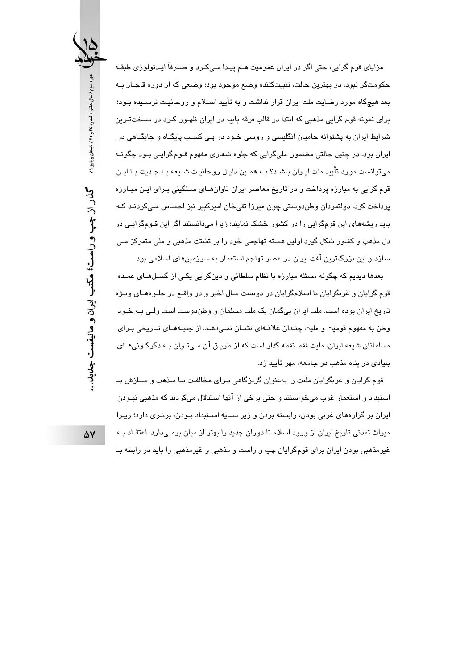مزایای قوم گرایی، حتی اگر در ایران عمومیت هــم پیـدا مــیکـرد و صــرفأ ایــدئولوژی طبقــه حکومتگر نبود، در بهترین حالت، تثبیتکننده وضم موجود بود؛ وضعی که از دوره قاجـار بـه بعد هیچگاه مورد رضایت ملت ایران قرار نداشت و به تأیید اســلام و روحانیـت نرســیده بـود؛ برای نمونه قوم گرایی مذهبی که ابتدا در قالب فرقه بابیه در ایران ظهـور کـرد در ســختـتـرین شرایط ایران به پشتوانه حامیان انگلیسی و روسی خـود در پـی کسـب پایگـاه و جایگـاهی در اپران بود. در چنین حالتی مضمون ملیگرایی که جلوه شعاری مفهوم قـوم گرایـی بـود چگونــه می توانست مورد تأیید ملت ایـران باشـد؟ بـه همـین دلیـل روحانیـت شـیعه بـا جـدیت بـا ایـن قوم گرایی به مبارزه پرداخت و در تاریخ معاصر ایران تاوانهـای سـنگینی بـرای ایـن مبـارزه پرداخت کرد. دولتمردان وطندوستی چون میرزا تقیخان امیرکبیر نیز احساس مے کردنـد کـه یابد ریشههای این قومگرایی را در کشور خشک نمایند؛ زیرا میدانستند اگر این قبومگرایی در دل مذهب و کشور شکل گیرد اولین هسته تهاجمی خود را بر تشتت مذهبی و ملی متمرکز مـی سازد و این بزرگترین آفت ایران در عصر تهاجم استعمار به سرزمینهای اسلامی بود.

بعدها دیدیم که چگونه مسئله مبارزه با نظام سلطانی و دینگرایی یکـی از گسـلهـای عمـده قوم گرایان و غربگرایان با اسلامگرایان در دویست سال اخیر و در واقــع در جلــوهمــای ویــژه تاریخ ایران بوده است. ملت ایران بیگمان یک ملت مسلمان و وطندوست است ولـی بـه خـود وطن به مفهوم قومیت و ملیت چنـدان علاقـهای نشــان نمــی،دهــد. از جنبـههــای تــاریخی بـرای مسلمانان شیعه ایران، ملیت فقط نقطه گذار است که از طریـق آن مـیٍتـوان بـه دگرگـونیِهـای اینبادی در ایناه مذهب در جامعه، مهر تأسد زد.

قوم گرایان و غربگرایان ملیت را بهعنوان گریزگاهی بـرای مخالفـت بـا مـذهب و ســازش بـا استبداد و استعمار غرب میخواستند و حتی برخی از آنها استدلال میکردند که مذهبی نبـودن ايران بر گزارههاي غربي بودن، وابسته بودن و زير سـايه اسـتبداد بـودن، برتـري دارد؛ زيـرا میراث تمدنی تاریخ ایران از ورود اسلام تا دوران جدید را بهتر از میان برمـیدارد. اعتقـاد بـه غیرمذهبی بودن ایران برای قومگرایان چپ و راست و مذهبی و غیرمذهبی را باید در رابطه بـا

دوره سوم / سال هفتم / شماره ٢٤ و ٢٥ / تابستان و پاییز ٨٩ گذر از چپ و راست؛ مکتب ایران و مانیفست جدید...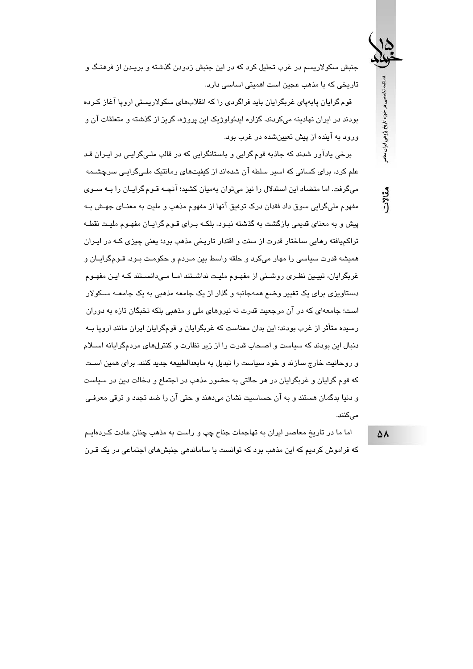جنبش سکولاریسم در غرب تحلیل کرد که در این جنبش زدودن گذشته و بریـدن از فرهنـگ و تاریخی که با مذهب عجین است اهمیتی اساسی دارد.

قوم گرایان پابەپای غربگرایان باید فراگردی را که انقلابهای سکولاریستی اروپا آغاز کـرده بودند در ایران نهادینه میکردند. گزاره ایدئولوژیک این پروژه، گریز از گذشته و متعلقات آن و ورود به آینده از پیش تعیینشده در غرب بود.

برخی پادآور شدند که جاذبه قوم گرایی و باستانگرایی که در قالب ملـیگرایـی در ایـران قـد علم کرد، برای کسانی که اسیر سلطه آن شدهاند از کیفیتهای رمانتیک ملـیگرایـی سرچشـمه میگرفت. اما متضاد این استدلال را نیز می توان بهمیان کشید؛ آنچــه قـوم گرایــان را بــه ســوی مفهوم مليگرايي سوق داد فقدان درک توفيق آنها از مفهوم مذهب و مليت به معنــاي جهـش بــه یش و به معنای قدیمی بازگشت به گذشته نیبود، بلکیه بیرای قبوم گراییان مفهیوم ملیت نقطیه تراکمپافته رهایی ساختار قدرت از سنت و اقتدار تاریخی مذهب بود؛ یعنی چیزی کـه در ایـران همیشه قدرت سیاسی را مهار میکرد و حلقه واسط بین مـردم و حکومـت بـود. قـومگرایـان و غربگرایان، تبیـین نظـری روشـنی از مفهـوم ملیـت نداشـتند امـا مـی۱دانسـتند کـه ایـن مفهـوم دستاویزی برای یک تغییر وضع همهجانبه و گذار از یک جامعه مذهبی به یک جامعــه ســکولار است؛ جامعهای که در آن مرجعیت قدرت نه نیروهای ملی و مذهبی بلکه نخبگان تازه به دوران رسیده متأثر از غرب بودند؛ این بدان معناست که غربگرایان و قومگرایان ایران مانند اروپا ب دنبال این بودند که سیاست و اصحاب قدرت را از زیر نظارت و کنترلهای مردمگرایانه اسـلام و روحانت خارج سازند و خود سیاست را تبدیل به مایعدالطبیعه حدید کنند. برای همین است که قوم گرایان و غربگرایان در هر حالتی به حضور مذهب در اجتماع و دخالت دین در سیاست و دنیا بدگمان هستند و به آن حساسیت نشان میدهند و حتی آن را ضد تجدد و ترقی معرفـی مے کنند.

اما ما در تاریخ معاصر ایران به تهاجمات جناح چپ و راست به مذهب چنان عادت کـردهایـم که فراموش کردیم که این مذهب بود که توانست با ساماندهی جنبشهای اجتماعی در یک قـرن

 $\Delta \Lambda$ 

فصلنامه تخصصی در حوزه تاریخ پژوهی ایران ساصر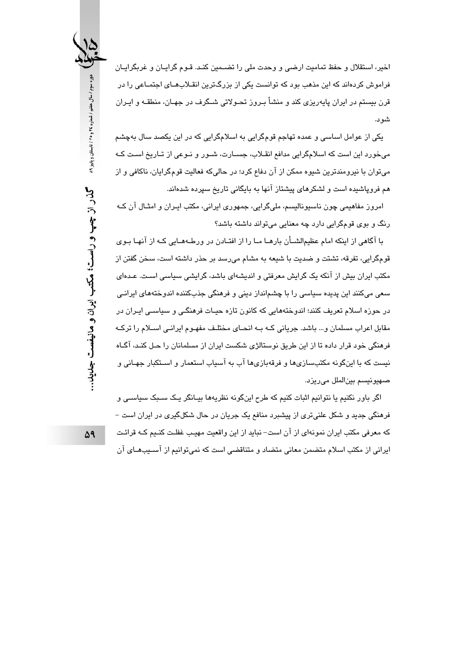اخير، استقلال و حفظ تماميت ارضي و وحدت ملي را تضـمين كنـد. قـوم گرايـان و غربگرايـان فراموش کردهاند که این مذهب بود که توانست یکی از بزرگترین انقـلابهـای اجتمـاعی را در قرن بیستم در ایران پایهریزی کند و منشأ بـروز تحـولاتی شــگرف در جهـان، منطقـه و ایـران شو د.

یکی از عوامل اساسی و عمده تهاجم قومگرایی به اسلامگرایی که در این یکصد سال بهچشم میخورد این است که اسلامگرایی مدافع انقـلاب، جسـارت، شـور و نـوعی از تـاریخ اسـت کـه می توان با نیرومندترین شیوه ممکن از آن دفاع کرد؛ در حالیکه فعالیت قومگرایان، ناکافی و از هم فروپاشیده است و لشکرهای پیشتاز آنها به بایگانی تاریخ سپرده شدهاند.

امروز مفاهیمی چون ناسیونالیسم، ملیگرایی، جمهوری ایرانی، مکتب ایـران و امثـال آن کـه رنگ و بوي قومگرايي دارد چه معنايي ميتواند داشته باشد؟

با آگاهی از اینکه امام عظیمالشــأن بارهــا مــا را از افتــادن در ورطــهمــایی کــه از آنهــا بــوی قومگرايي، تفرقه، تشتت و ضديت با شيعه به مشام مي رسد بر حذر داشته است، سخن گفتن از مکتب ایران بیش از آنکه یک گرایش معرفتی و اندیشهای باشد، گرایشی سیاسی اسـت. عـدهای سعی میکنند این پدیده سیاسی را با چشمانداز دینی و فرهنگی جذبکننده اندوختههای ایرانـی در حوزه اسلام تعریف کنند؛ اندوختههایی که کانون تازه حیـات فرهنگـی و سیاسـی ایـران در مقابل اعراب مسلمان و… باشد. جریانی کـه بـه انحـای مختلـف مفهـوم ایرانـی اســلام را ترکـه فرهنگی خود قرار داده تا از این طریق نوستالژی شکست ایران از مسلمانان را حـل کنـد، آگــاه نیست که با اینگونه مکتبسازی ها و فرقهبازی ها آب به آسیاب استعمار و اسـتکبار جهـانی و صهيونيسم بين الملل مي ريزد.

اگر باور نکنیم یا نتوانیم اثبات کنیم که طرح اینگونه نظریهها بیـانگر یـک سـبک سیاسـی و فرهنگی جدید و شکل علنیتری از پیشبرد منافع یک جریان در حال شکلگیری در ایران است – که معرفی مکتب ایران نمونهای از آن است– نباید از این واقعیت مهیـب غفلـت کنـیم کـه قرائـت ابرانی از مکتب اسلام متضمن معانی متضاد و متناقضی است که نمی توانیم از آســیبهــای آن

۵٩

گذر از چپ و راست؛ مکتب ایران و مانیفست جلمید...

دوره سوم / سال هفتم / شماره ٢٤ و ٢٥ / تابستان و پاییز ٨٩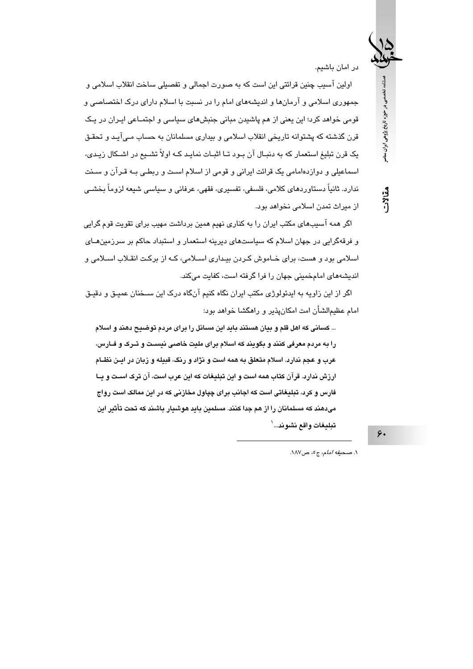در امان پاشیم.

فصلنامه تخصصی در حوزه تاریخ پژوهی ایران معاصر

مقالات

اولين آسيب چنين قرائتي اين است كه به صورت اجمالي و تفصيلي ساخت انقلاب اسلامي و جمهوری اسلامی و آرمانها و اندیشههای امام را در نسبت با اسلام دارای درک اختصاصی و قومی خواهد کرد؛ این یعنی از هم پاشیدن مبانی جنبشهای سیاسی و اجتمـاعی ایـران در یـک قرن گذشته که پشتوانه تاریخی انقلاب اسلامی و بیداری مسلمانان به حساب مـیآیـد و تحقـق یک قرن تبلیغ استعمار که به دنبـال آن بـود تـا اثبـات نمایـد کـه اولاً تشــیع در اشــکال زیـدی، اسماعیلی و دوازدهامامی یک قرائت ایرانی و قومی از اسلام اسـت و ربطـی بـه قـرآن و سـنت ندارد. ثانیاً دستاوردهای کلامی، فلسفی، تفسیری، فقهی، عرفانی و سپاسی شیعه لزوماً بخشـی از میراث تمدن اسلامی نخواهد بود.

اگر همه آسیبهای مکتب ایران را به کناری نهیم همین برداشت مهیب برای تقویت قوم گرایی و فرقهگرایی در جهان اسلام که سیاستهای دیرینه استعمار و استبداد حاکم بر سرزمینهـای اسلامی بود و هست، برای خـاموش کـردن بیـداری اسـلامی، کـه از برکـت انقـلاب اسـلامی و اندیشههای امامخمینی جهان را فرا گرفته است، کفایت میکند.

اگر از این زاویه به ایدئولوژی مکتب ایران نگاه کنیم آنگاه درک این ســخنان عمیـق و دقیـق امام عظیمالشأن امت امکان،پذیر و راهگشا خواهد بود:

... کسانی که اهل قلم و بیان هستند باید این مسائل را برای مردم توضیح دهند و اسلام را به مردم معرفی کنند و بگویند که اسلام برای ملیت خاصی نیست و تــرک و فــارس، عرب و عجم ندارد. اسلام متعلق به همه است و نژاد و رنگ، قبیله و زبان در ایـن نظــام ارزش ندارد. قرآن کتاب همه است و این تبلیغات که این عرب است، آن ترک اسـت و پــا فارس و کرد، تبلیغاتی است که اجانب برای چپاول مخازنی که در این ممالک است رواج میدهند که مسلمانان را از هم جدا کنند. مسلمین باید هوشیار باشند که تحت تأثیر این تبليغات واقع نشوند...`

۶٠

١. صحيفه أمام، ج٥، ص١٨٧.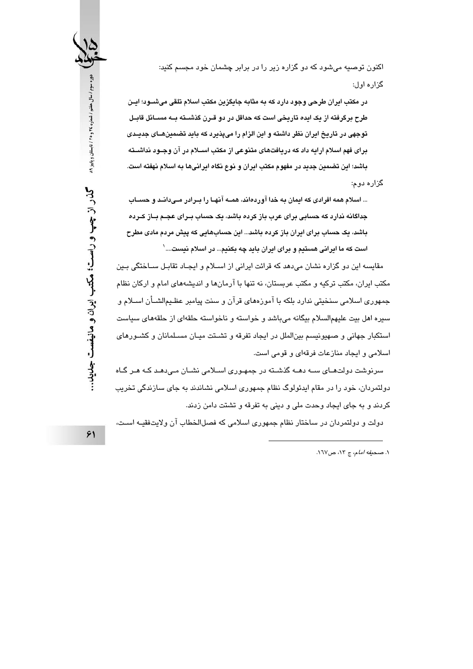اکنون توصیه میشود که دو گزاره زیر را در برابر چشمان خود مجسم کنید: گزاره اول:

در مکتب ابران طرحی وجود دارد که به مثابه جایگزین مکتب اسلام تلقی میشــود؛ ایــن طرح برگرفته از یک ایده تاریخی است که حداقل در دو قـرن گذشــته بــه مســائل قابــل توجهی در تاریخ ایران نظر داشته و این الزام را میپذیرد که باید تضمینهــای جدیــدی برای فهم اسلام ارایه داد که دریافتهای متنوعی از مکتب اســلام در آن وجــود نداشــته باشد؛ این تضمین جدید در مفهوم مکتب ایران و نوع نگاه ایرانیها به اسلام نهفته است.

گزاره دوم:

... اسلام همه افرادی که ایمان به خدا آوردهاند، همــه آنهـا را بــرادر مــیدانــد و حســاب جداگانه ندارد که حسابی برای عرب باز کرده باشد، یک حساب بــرای عجــم بــاز کــرده باشد، یک حساب برای ایران باز کرده باشد... این حسابهایی که پیش مردم مادی مطرح است که ما ابرانی هستیم و برای ابران باید چه یکنیم... در اسلام نیست.... <sup>(</sup>

مقاسیه این دو گزاره نشان می دهد که قرائت ایرانی از اسپلام و ایجیاد تقاییل سیاختگی پین مکتب ایران، مکتب ترکیه و مکتب عربستان، نه تنها با آرمانها و اندیشههای امام و ارکان نظام جمهوری اسلامی سنخیتی ندارد بلکه با آموزههای قرآن و سنت پیامبر عظـیمالشــأن اســلام و سبر ه اهل بيت عليهمالسلام بيگانه مي باشد و خواسته و ناخواسته حلقهاي از حلقههاي سياست استکبار جهانی و صهیونیسم بینالملل در ایجاد تفرقه و تشــتت میـان مسـلمانان و کشــورهای اسلامی و ایجاد منازعات فرقهای و قومی است.

سرنوشت دولتھـای ســه دهــه گذشــڌه در جمهـوری اســلامی نشــان مــی،دهـد کــه هــر گــاه دولتمردان، خود را در مقام ایدئولوگ نظام جمهوری اسلامی نشاندند به جای سازندگی تخریب کردند و به جای ایجاد وحدت ملی و دینی به تفرقه و تشتت دامن زدند.

دولت و دولتمردان در ساختار نظام جمهوری اسلامی که فصل|لخطاب آن ولایتفقیـه اسـت،

۰۱ صحيفه *امام*، ج ١٣، ص١٦٧.